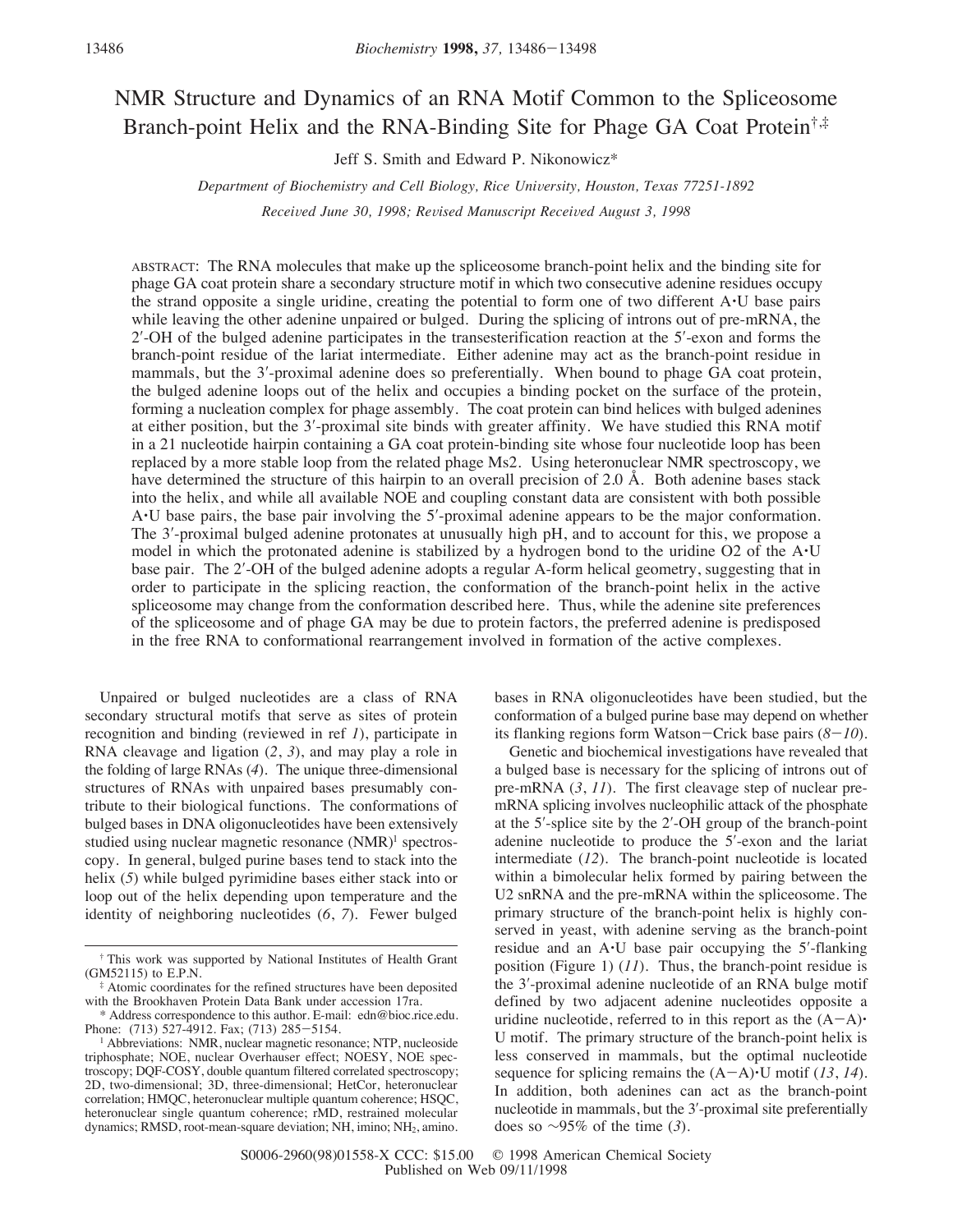# NMR Structure and Dynamics of an RNA Motif Common to the Spliceosome Branch-point Helix and the RNA-Binding Site for Phage GA Coat Protein<sup>†,‡</sup>

Jeff S. Smith and Edward P. Nikonowicz\*

*Department of Biochemistry and Cell Biology, Rice University, Houston, Texas 77251-1892* 

*Received June 30, 1998; Revised Manuscript Received August 3, 1998* 

ABSTRACT: The RNA molecules that make up the spliceosome branch-point helix and the binding site for phage GA coat protein share a secondary structure motif in which two consecutive adenine residues occupy the strand opposite a single uridine, creating the potential to form one of two different A'U base pairs while leaving the other adenine unpaired or bulged. During the splicing of introns out of pre-mRNA, the 2′-OH of the bulged adenine participates in the transesterification reaction at the 5′-exon and forms the branch-point residue of the lariat intermediate. Either adenine may act as the branch-point residue in mammals, but the 3′-proximal adenine does so preferentially. When bound to phage GA coat protein, the bulged adenine loops out of the helix and occupies a binding pocket on the surface of the protein, forming a nucleation complex for phage assembly. The coat protein can bind helices with bulged adenines at either position, but the 3′-proximal site binds with greater affinity. We have studied this RNA motif in a 21 nucleotide hairpin containing a GA coat protein-binding site whose four nucleotide loop has been replaced by a more stable loop from the related phage Ms2. Using heteronuclear NMR spectroscopy, we have determined the structure of this hairpin to an overall precision of 2.0 Å. Both adenine bases stack into the helix, and while all available NOE and coupling constant data are consistent with both possible A'U base pairs, the base pair involving the 5′-proximal adenine appears to be the major conformation. The 3′-proximal bulged adenine protonates at unusually high pH, and to account for this, we propose a model in which the protonated adenine is stabilized by a hydrogen bond to the uridine O2 of the A'U base pair. The 2′-OH of the bulged adenine adopts a regular A-form helical geometry, suggesting that in order to participate in the splicing reaction, the conformation of the branch-point helix in the active spliceosome may change from the conformation described here. Thus, while the adenine site preferences of the spliceosome and of phage GA may be due to protein factors, the preferred adenine is predisposed in the free RNA to conformational rearrangement involved in formation of the active complexes.

Unpaired or bulged nucleotides are a class of RNA secondary structural motifs that serve as sites of protein recognition and binding (reviewed in ref *1*), participate in RNA cleavage and ligation (*2*, *3*), and may play a role in the folding of large RNAs (*4*). The unique three-dimensional structures of RNAs with unpaired bases presumably contribute to their biological functions. The conformations of bulged bases in DNA oligonucleotides have been extensively studied using nuclear magnetic resonance (NMR)<sup>1</sup> spectroscopy. In general, bulged purine bases tend to stack into the helix (5) while bulged pyrimidine bases either stack into or loop out of the helix depending upon temperature and the identity of neighboring nucleotides (*6*, *7*). Fewer bulged

bases in RNA oligonucleotides have been studied, but the conformation of a bulged purine base may depend on whether its flanking regions form Watson-Crick base pairs (*8*-*10*).

Genetic and biochemical investigations have revealed that a bulged base is necessary for the splicing of introns out of pre-mRNA (*3*, *11*). The first cleavage step of nuclear premRNA splicing involves nucleophilic attack of the phosphate at the 5′-splice site by the 2′-OH group of the branch-point adenine nucleotide to produce the 5′-exon and the lariat intermediate (*12*). The branch-point nucleotide is located within a bimolecular helix formed by pairing between the U2 snRNA and the pre-mRNA within the spliceosome. The primary structure of the branch-point helix is highly conserved in yeast, with adenine serving as the branch-point residue and an A'U base pair occupying the 5′-flanking position (Figure 1) (*11*). Thus, the branch-point residue is the 3′-proximal adenine nucleotide of an RNA bulge motif defined by two adjacent adenine nucleotides opposite a uridine nucleotide, referred to in this report as the  $(A-A)$ U motif. The primary structure of the branch-point helix is less conserved in mammals, but the optimal nucleotide sequence for splicing remains the  $(A-A)\cdot U$  motif (13, 14). In addition, both adenines can act as the branch-point nucleotide in mammals, but the 3′-proximal site preferentially does so ∼95% of the time (*3*).

<sup>†</sup> This work was supported by National Institutes of Health Grant (GM52115) to E.P.N.

<sup>‡</sup> Atomic coordinates for the refined structures have been deposited with the Brookhaven Protein Data Bank under accession 17ra.

<sup>\*</sup> Address correspondence to this author. E-mail: edn@bioc.rice.edu. Phone: (713) 527-4912. Fax; (713) 285-5154.

<sup>&</sup>lt;sup>1</sup> Abbreviations: NMR, nuclear magnetic resonance; NTP, nucleoside triphosphate; NOE, nuclear Overhauser effect; NOESY, NOE spectroscopy; DQF-COSY, double quantum filtered correlated spectroscopy; 2D, two-dimensional; 3D, three-dimensional; HetCor, heteronuclear correlation; HMQC, heteronuclear multiple quantum coherence; HSQC, heteronuclear single quantum coherence; rMD, restrained molecular dynamics; RMSD, root-mean-square deviation; NH, imino; NH<sub>2</sub>, amino.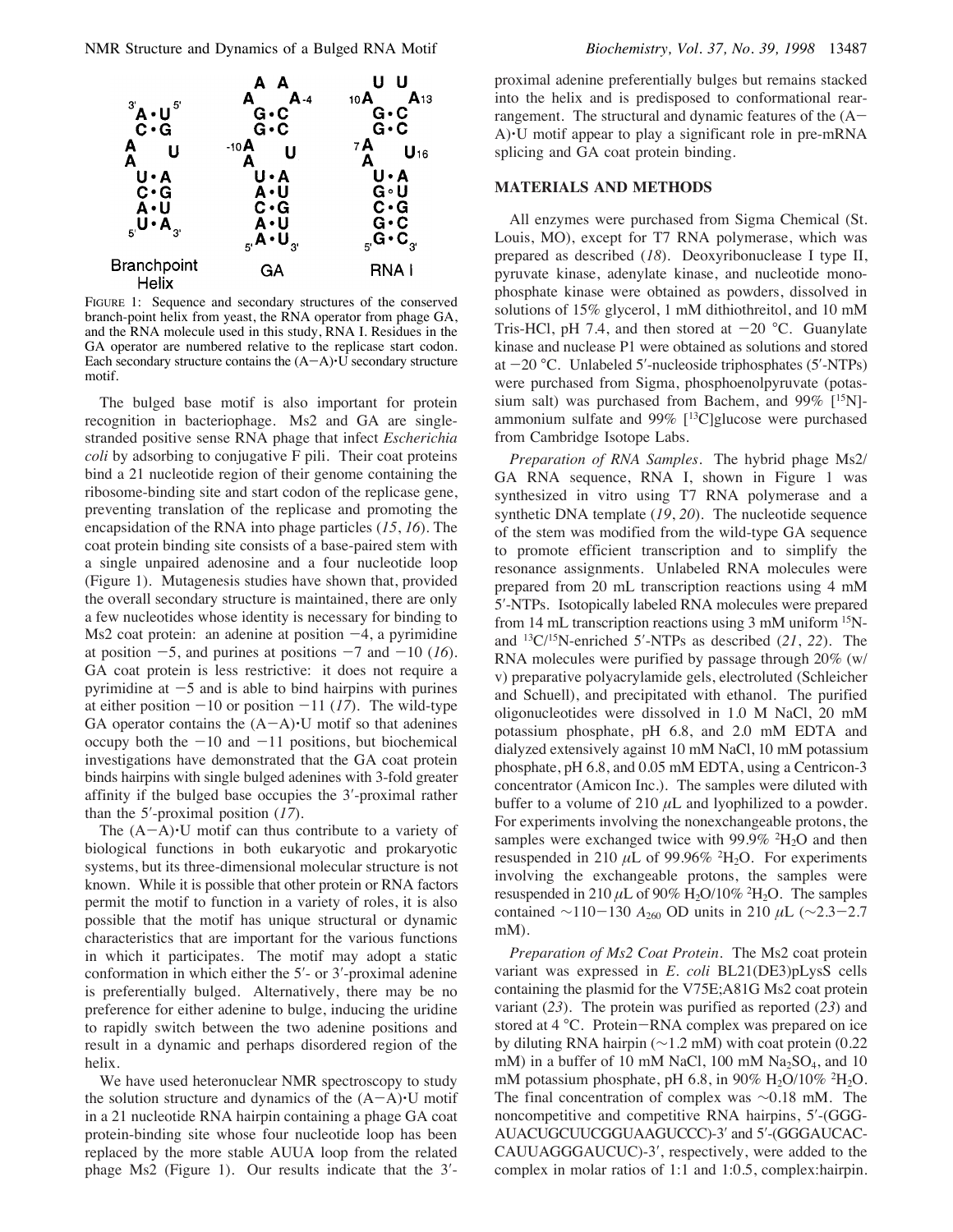NMR Structure and Dynamics of a Bulged RNA Motif *Biochemistry, Vol. 37, No. 39, 1998* 13487



FIGURE 1: Sequence and secondary structures of the conserved branch-point helix from yeast, the RNA operator from phage GA, and the RNA molecule used in this study, RNA I. Residues in the GA operator are numbered relative to the replicase start codon. Each secondary structure contains the  $(A-A)\cdot U$  secondary structure motif.

The bulged base motif is also important for protein recognition in bacteriophage. Ms2 and GA are singlestranded positive sense RNA phage that infect *Escherichia coli* by adsorbing to conjugative F pili. Their coat proteins bind a 21 nucleotide region of their genome containing the ribosome-binding site and start codon of the replicase gene, preventing translation of the replicase and promoting the encapsidation of the RNA into phage particles (*15*, *16*). The coat protein binding site consists of a base-paired stem with a single unpaired adenosine and a four nucleotide loop (Figure 1). Mutagenesis studies have shown that, provided the overall secondary structure is maintained, there are only a few nucleotides whose identity is necessary for binding to Ms2 coat protein: an adenine at position  $-4$ , a pyrimidine at position  $-5$ , and purines at positions  $-7$  and  $-10$  (16). GA coat protein is less restrictive: it does not require a pyrimidine at  $-5$  and is able to bind hairpins with purines at either position  $-10$  or position  $-11$  (17). The wild-type GA operator contains the  $(A-A)\cdot U$  motif so that adenines occupy both the  $-10$  and  $-11$  positions, but biochemical investigations have demonstrated that the GA coat protein binds hairpins with single bulged adenines with 3-fold greater affinity if the bulged base occupies the 3′-proximal rather than the 5′-proximal position (*17*).

The  $(A-A)$ <sup> $\cdot$ </sup>U motif can thus contribute to a variety of biological functions in both eukaryotic and prokaryotic systems, but its three-dimensional molecular structure is not known. While it is possible that other protein or RNA factors permit the motif to function in a variety of roles, it is also possible that the motif has unique structural or dynamic characteristics that are important for the various functions in which it participates. The motif may adopt a static conformation in which either the 5′- or 3′-proximal adenine is preferentially bulged. Alternatively, there may be no preference for either adenine to bulge, inducing the uridine to rapidly switch between the two adenine positions and result in a dynamic and perhaps disordered region of the helix.

We have used heteronuclear NMR spectroscopy to study the solution structure and dynamics of the  $(A-A)\cdot U$  motif in a 21 nucleotide RNA hairpin containing a phage GA coat protein-binding site whose four nucleotide loop has been replaced by the more stable AUUA loop from the related phage Ms2 (Figure 1). Our results indicate that the 3′-

proximal adenine preferentially bulges but remains stacked into the helix and is predisposed to conformational rearrangement. The structural and dynamic features of the  $(A-$ A)'U motif appear to play a significant role in pre-mRNA splicing and GA coat protein binding.

## **MATERIALS AND METHODS**

All enzymes were purchased from Sigma Chemical (St. Louis, MO), except for T7 RNA polymerase, which was prepared as described (*18*). Deoxyribonuclease I type II, pyruvate kinase, adenylate kinase, and nucleotide monophosphate kinase were obtained as powders, dissolved in solutions of 15% glycerol, 1 mM dithiothreitol, and 10 mM Tris-HCl, pH 7.4, and then stored at  $-20$  °C. Guanylate kinase and nuclease P1 were obtained as solutions and stored at  $-20$  °C. Unlabeled 5′-nucleoside triphosphates (5′-NTPs) were purchased from Sigma, phosphoenolpyruvate (potassium salt) was purchased from Bachem, and  $99\%$  [<sup>15</sup>N]ammonium sulfate and 99%  $[$ <sup>13</sup>C]glucose were purchased from Cambridge Isotope Labs.

*Preparation of RNA Samples.* The hybrid phage Ms2/ GA RNA sequence, RNA I, shown in Figure 1 was synthesized in vitro using T7 RNA polymerase and a synthetic DNA template (*19*, *20*). The nucleotide sequence of the stem was modified from the wild-type GA sequence to promote efficient transcription and to simplify the resonance assignments. Unlabeled RNA molecules were prepared from 20 mL transcription reactions using 4 mM 5′-NTPs. Isotopically labeled RNA molecules were prepared from 14 mL transcription reactions using 3 mM uniform 15Nand 13C/15N-enriched 5′-NTPs as described (*21*, *22*). The RNA molecules were purified by passage through 20% (w/ v) preparative polyacrylamide gels, electroluted (Schleicher and Schuell), and precipitated with ethanol. The purified oligonucleotides were dissolved in 1.0 M NaCl, 20 mM potassium phosphate, pH 6.8, and 2.0 mM EDTA and dialyzed extensively against 10 mM NaCl, 10 mM potassium phosphate, pH 6.8, and 0.05 mM EDTA, using a Centricon-3 concentrator (Amicon Inc.). The samples were diluted with buffer to a volume of 210  $\mu$ L and lyophilized to a powder. For experiments involving the nonexchangeable protons, the samples were exchanged twice with  $99.9\%$  <sup>2</sup>H<sub>2</sub>O and then resuspended in 210  $\mu$ L of 99.96% <sup>2</sup>H<sub>2</sub>O. For experiments involving the exchangeable protons, the samples were resuspended in 210  $\mu$ L of 90% H<sub>2</sub>O/10% <sup>2</sup>H<sub>2</sub>O. The samples contained ∼110-130 *A*<sub>260</sub> OD units in 210 µL (∼2.3-2.7 mM).

*Preparation of Ms2 Coat Protein*. The Ms2 coat protein variant was expressed in *E. coli* BL21(DE3)pLysS cells containing the plasmid for the V75E;A81G Ms2 coat protein variant (*23*). The protein was purified as reported (*23*) and stored at 4 °C. Protein-RNA complex was prepared on ice by diluting RNA hairpin (∼1.2 mM) with coat protein (0.22 mM) in a buffer of 10 mM NaCl, 100 mM  $Na<sub>2</sub>SO<sub>4</sub>$ , and 10 mM potassium phosphate, pH 6.8, in 90%  $H_2O/10\%$  <sup>2</sup>H<sub>2</sub>O. The final concentration of complex was ∼0.18 mM. The noncompetitive and competitive RNA hairpins, 5′-(GGG-AUACUGCUUCGGUAAGUCCC)-3′ and 5′-(GGGAUCAC-CAUUAGGGAUCUC)-3′, respectively, were added to the complex in molar ratios of 1:1 and 1:0.5, complex:hairpin.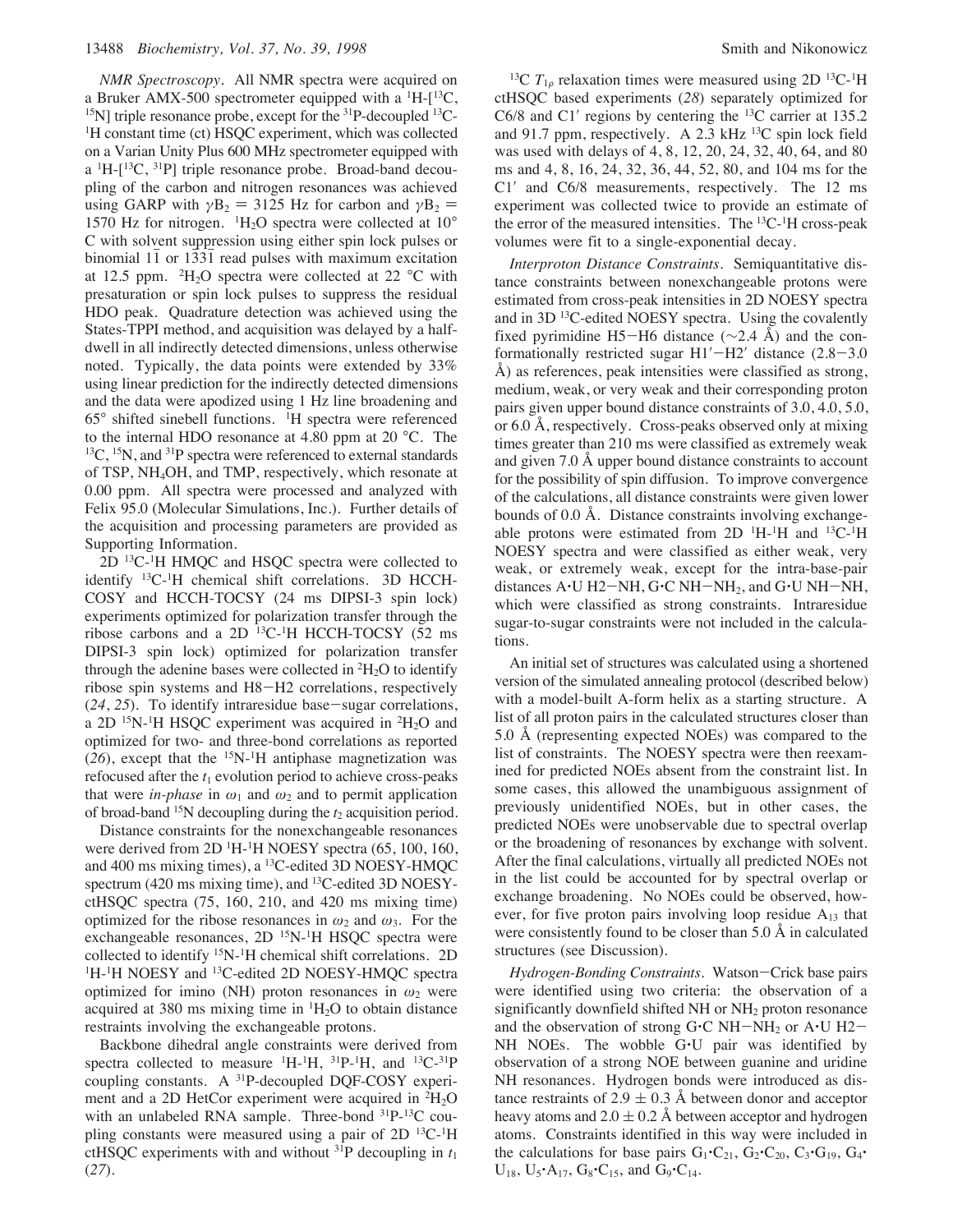*NMR Spectroscopy.* All NMR spectra were acquired on a Bruker AMX-500 spectrometer equipped with a  ${}^{1}H-{}^{13}C$ ,  $^{15}$ N] triple resonance probe, except for the  $^{31}P$ -decoupled  $^{13}C$ -<sup>1</sup>H constant time (ct) HSQC experiment, which was collected on a Varian Unity Plus 600 MHz spectrometer equipped with a  ${}^{1}$ H- $[{}^{13}C, {}^{31}P]$  triple resonance probe. Broad-band decoupling of the carbon and nitrogen resonances was achieved using GARP with  $\gamma$ B<sub>2</sub> = 3125 Hz for carbon and  $\gamma$ B<sub>2</sub> = 1570 Hz for nitrogen.  ${}^{1}H_{2}O$  spectra were collected at  $10^{\circ}$ C with solvent suppression using either spin lock pulses or binomial 11 or 1331 read pulses with maximum excitation at 12.5 ppm.  ${}^{2}H_{2}O$  spectra were collected at 22 °C with presaturation or spin lock pulses to suppress the residual HDO peak. Quadrature detection was achieved using the States-TPPI method, and acquisition was delayed by a halfdwell in all indirectly detected dimensions, unless otherwise noted. Typically, the data points were extended by 33% using linear prediction for the indirectly detected dimensions and the data were apodized using 1 Hz line broadening and 65° shifted sinebell functions. 1H spectra were referenced to the internal HDO resonance at 4.80 ppm at 20 °C. The  $^{13}C$ ,  $^{15}N$ , and  $^{31}P$  spectra were referenced to external standards of TSP, NH4OH, and TMP, respectively, which resonate at 0.00 ppm. All spectra were processed and analyzed with Felix 95.0 (Molecular Simulations, Inc.). Further details of the acquisition and processing parameters are provided as Supporting Information.

 $2D$  <sup>13</sup>C<sup>-1</sup>H HMQC and HSQC spectra were collected to identify 13C-1H chemical shift correlations. 3D HCCH-COSY and HCCH-TOCSY (24 ms DIPSI-3 spin lock) experiments optimized for polarization transfer through the ribose carbons and a 2D 13C-1 H HCCH-TOCSY (52 ms DIPSI-3 spin lock) optimized for polarization transfer through the adenine bases were collected in  ${}^{2}H_{2}O$  to identify ribose spin systems and H8-H2 correlations, respectively (*24*, *25*). To identify intraresidue base-sugar correlations, a 2D  $^{15}N$ -<sup>1</sup>H HSQC experiment was acquired in  $^{2}H_{2}O$  and optimized for two- and three-bond correlations as reported  $(26)$ , except that the <sup>15</sup>N-<sup>1</sup>H antiphase magnetization was refocused after the  $t_1$  evolution period to achieve cross-peaks that were *in-phase* in  $\omega_1$  and  $\omega_2$  and to permit application of broad-band  $^{15}N$  decoupling during the  $t_2$  acquisition period.

Distance constraints for the nonexchangeable resonances were derived from 2D <sup>1</sup>H<sup>-1</sup>H NOESY spectra (65, 100, 160, and 400 ms mixing times), a 13C-edited 3D NOESY-HMQC spectrum (420 ms mixing time), and <sup>13</sup>C-edited 3D NOESYctHSQC spectra (75, 160, 210, and 420 ms mixing time) optimized for the ribose resonances in  $\omega_2$  and  $\omega_3$ . For the exchangeable resonances,  $2D<sup>15</sup>N-<sup>1</sup>H$  HSQC spectra were collected to identify <sup>15</sup>N-<sup>1</sup>H chemical shift correlations. 2D <sup>1</sup>H-<sup>1</sup>H NOESY and <sup>13</sup>C-edited 2D NOESY-HMQC spectra optimized for imino (NH) proton resonances in  $\omega_2$  were acquired at 380 ms mixing time in  ${}^{1}H_{2}O$  to obtain distance restraints involving the exchangeable protons.

Backbone dihedral angle constraints were derived from spectra collected to measure  ${}^{1}H-{}^{1}H$ ,  ${}^{31}P-{}^{1}H$ , and  ${}^{13}C-{}^{31}P$ coupling constants. A 31P-decoupled DQF-COSY experiment and a 2D HetCor experiment were acquired in <sup>2</sup>H<sub>2</sub>O with an unlabeled RNA sample. Three-bond  ${}^{31}P_{-}{}^{13}C$  coupling constants were measured using a pair of 2D <sup>13</sup>C-<sup>1</sup>H ctHSQC experiments with and without  $31P$  decoupling in  $t_1$ (*27*).

<sup>13</sup>C  $T_{1\rho}$  relaxation times were measured using 2D <sup>13</sup>C<sup>-1</sup>H ctHSQC based experiments (*28*) separately optimized for C6/8 and C1′ regions by centering the 13C carrier at 135.2 and 91.7 ppm, respectively. A 2.3 kHz 13C spin lock field was used with delays of 4, 8, 12, 20, 24, 32, 40, 64, and 80 ms and 4, 8, 16, 24, 32, 36, 44, 52, 80, and 104 ms for the C1′ and C6/8 measurements, respectively. The 12 ms experiment was collected twice to provide an estimate of the error of the measured intensities. The <sup>13</sup>C<sup>-1</sup>H cross-peak volumes were fit to a single-exponential decay.

*Interproton Distance Constraints.* Semiquantitative distance constraints between nonexchangeable protons were estimated from cross-peak intensities in 2D NOESY spectra and in 3D<sup>13</sup>C-edited NOESY spectra. Using the covalently fixed pyrimidine H5-H6 distance ( $\sim$ 2.4 Å) and the conformationally restricted sugar  $H1'$ - $H2'$  distance (2.8-3.0) Å) as references, peak intensities were classified as strong, medium, weak, or very weak and their corresponding proton pairs given upper bound distance constraints of 3.0, 4.0, 5.0, or 6.0 Å, respectively. Cross-peaks observed only at mixing times greater than 210 ms were classified as extremely weak and given 7.0 Å upper bound distance constraints to account for the possibility of spin diffusion. To improve convergence of the calculations, all distance constraints were given lower bounds of 0.0 Å. Distance constraints involving exchangeable protons were estimated from  $2D<sup>-1</sup>H<sup>-1</sup>H$  and  $<sup>13</sup>C<sup>-1</sup>H$ </sup> NOESY spectra and were classified as either weak, very weak, or extremely weak, except for the intra-base-pair distances  $A \cdot U H2-NH$ ,  $G \cdot C NH-NH_2$ , and  $G \cdot U NH-NH$ , which were classified as strong constraints. Intraresidue sugar-to-sugar constraints were not included in the calculations.

An initial set of structures was calculated using a shortened version of the simulated annealing protocol (described below) with a model-built A-form helix as a starting structure. A list of all proton pairs in the calculated structures closer than 5.0 Å (representing expected NOEs) was compared to the list of constraints. The NOESY spectra were then reexamined for predicted NOEs absent from the constraint list. In some cases, this allowed the unambiguous assignment of previously unidentified NOEs, but in other cases, the predicted NOEs were unobservable due to spectral overlap or the broadening of resonances by exchange with solvent. After the final calculations, virtually all predicted NOEs not in the list could be accounted for by spectral overlap or exchange broadening. No NOEs could be observed, however, for five proton pairs involving loop residue  $A_{13}$  that were consistently found to be closer than 5.0 Å in calculated structures (see Discussion).

*Hydrogen-Bonding Constraints.* Watson-Crick base pairs were identified using two criteria: the observation of a significantly downfield shifted NH or NH<sub>2</sub> proton resonance and the observation of strong  $G^{\bullet}C$  NH-NH<sub>2</sub> or A $\cdot$ U H2-NH NOEs. The wobble G'U pair was identified by observation of a strong NOE between guanine and uridine NH resonances. Hydrogen bonds were introduced as distance restraints of  $2.9 \pm 0.3$  Å between donor and acceptor heavy atoms and  $2.0 \pm 0.2$  Å between acceptor and hydrogen atoms. Constraints identified in this way were included in the calculations for base pairs  $G_1$ ·C<sub>21</sub>,  $G_2$ ·C<sub>20</sub>, C<sub>3</sub>·G<sub>19</sub>, G<sub>4</sub>·  $U_{18}$ ,  $U_5$ <sup> $\cdot$ </sup>A<sub>17</sub>,  $G_8$ <sup> $\cdot$ </sup>C<sub>15</sub>, and  $G_9$ <sup> $\cdot$ </sup>C<sub>14</sub>.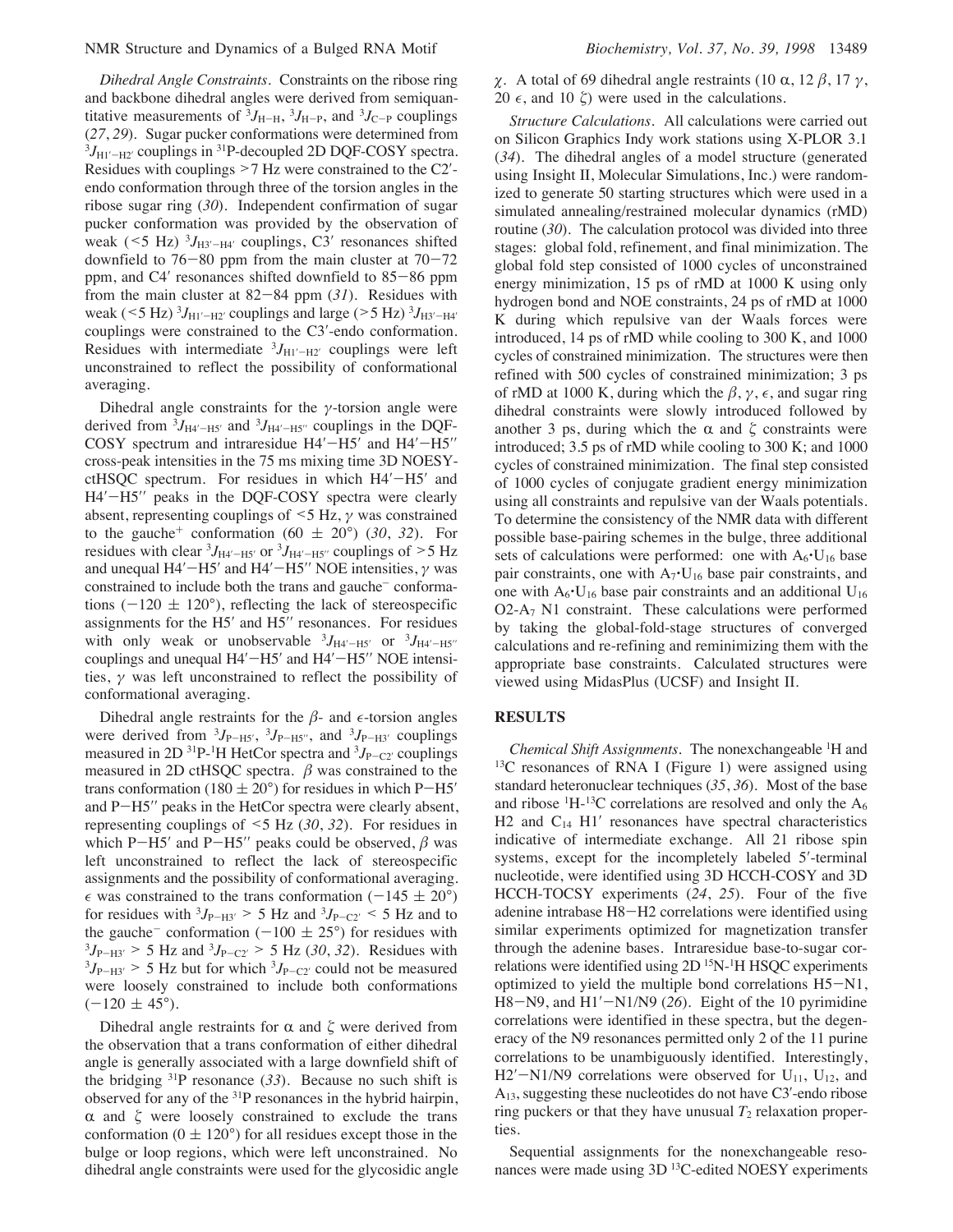*Dihedral Angle Constraints.* Constraints on the ribose ring and backbone dihedral angles were derived from semiquantitative measurements of  ${}^{3}J_{\text{H-H}}$ ,  ${}^{3}J_{\text{H-P}}$ , and  ${}^{3}J_{\text{C-P}}$  couplings (*27*, *29*). Sugar pucker conformations were determined from  ${}^{3}J_{\text{H1}^{\prime}-\text{H2}^{\prime}}$  couplings in  ${}^{31}P$ -decoupled 2D DQF-COSY spectra. Residues with couplings >7 Hz were constrained to the C2′ endo conformation through three of the torsion angles in the ribose sugar ring (*30*). Independent confirmation of sugar pucker conformation was provided by the observation of weak ( $\leq 5$  Hz)  $^{3}J_{\text{H}3'-\text{H}4'}$  couplings, C3' resonances shifted downfield to  $76-80$  ppm from the main cluster at  $70-72$ ppm, and C4′ resonances shifted downfield to 85-86 ppm from the main cluster at 82-84 ppm (*31*). Residues with weak ( $\leq 5$  Hz)  $^{3}J_{\text{H1}'-\text{H2}'}$  couplings and large ( $> 5$  Hz)  $^{3}J_{\text{H3}'-\text{H4}'}$ couplings were constrained to the C3′-endo conformation. Residues with intermediate  ${}^{3}J_{\text{H1}'-\text{H2}'}$  couplings were left unconstrained to reflect the possibility of conformational averaging.

Dihedral angle constraints for the  $\gamma$ -torsion angle were derived from  ${}^{3}J_{\text{H4}'-\text{H5}'}$  and  ${}^{3}J_{\text{H4}'-\text{H5}''}$  couplings in the DQF-COSY spectrum and intraresidue H4′-H5′ and H4′-H5″ cross-peak intensities in the 75 ms mixing time 3D NOESYctHSQC spectrum. For residues in which H4′–H5′ and H4′–H5′′ peaks in the DQF-COSY spectra were clearly absent, representing couplings of  $\leq$  5 Hz,  $\gamma$  was constrained to the gauche<sup>+</sup> conformation (60  $\pm$  20°) (30, 32). For residues with clear  ${}^{3}J_{\text{H}4' - \text{H}5'}$  or  ${}^{3}J_{\text{H}4' - \text{H}5''}$  couplings of  $>$  5 Hz and unequal H4′ $-H5'$  and H4′ $-H5''$  NOE intensities,  $\gamma$  was constrained to include both the trans and gauche<sup>-</sup> conformations ( $-120 \pm 120^{\circ}$ ), reflecting the lack of stereospecific assignments for the H5′ and H5′′ resonances. For residues with only weak or unobservable  ${}^{3}J_{\text{H4'}-\text{H5'}}$  or  ${}^{3}J_{\text{H4'}-\text{H5''}}$ couplings and unequal H4′-H5′ and H4′-H5′′ NOE intensities,  $\gamma$  was left unconstrained to reflect the possibility of conformational averaging.

Dihedral angle restraints for the  $\beta$ - and  $\epsilon$ -torsion angles were derived from  ${}^{3}J_{P-H5'}$ ,  ${}^{3}J_{P-H5''}$ , and  ${}^{3}J_{P-H3'}$  couplings measured in 2D <sup>31</sup>P-<sup>1</sup>H HetCor spectra and <sup>3</sup>J<sub>P-C2</sub><sup>*c*</sup> couplings measured in 2D ctHSQC spectra.  $\beta$  was constrained to the trans conformation (180  $\pm$  20°) for residues in which P-H5' and P-H5′′ peaks in the HetCor spectra were clearly absent, representing couplings of <5 Hz (*30*, *32*). For residues in which P-H5′ and P-H5′′ peaks could be observed,  $\beta$  was left unconstrained to reflect the lack of stereospecific assignments and the possibility of conformational averaging.  $\epsilon$  was constrained to the trans conformation (-145  $\pm$  20°) for residues with  $3J_{P-H3'} > 5$  Hz and  $3J_{P-C2'} < 5$  Hz and to the gauche<sup>-</sup> conformation (-100  $\pm$  25°) for residues with  $3J_{P-H3'} > 5$  Hz and  $3J_{P-C2'} > 5$  Hz (30, 32). Residues with  $3J_{P-H3'}$  > 5 Hz but for which  $3J_{P-C2'}$  could not be measured were loosely constrained to include both conformations  $(-120 \pm 45^{\circ}).$ 

Dihedral angle restraints for  $\alpha$  and  $\zeta$  were derived from the observation that a trans conformation of either dihedral angle is generally associated with a large downfield shift of the bridging  ${}^{31}P$  resonance (33). Because no such shift is observed for any of the  $31P$  resonances in the hybrid hairpin,  $\alpha$  and  $\zeta$  were loosely constrained to exclude the trans conformation  $(0 \pm 120^{\circ})$  for all residues except those in the bulge or loop regions, which were left unconstrained. No dihedral angle constraints were used for the glycosidic angle  $\chi$ . A total of 69 dihedral angle restraints (10 α, 12 β, 17 γ, 20  $\epsilon$ , and 10  $\zeta$ ) were used in the calculations.

*Structure Calculations.* All calculations were carried out on Silicon Graphics Indy work stations using X-PLOR 3.1 (*34*). The dihedral angles of a model structure (generated using Insight II, Molecular Simulations, Inc.) were randomized to generate 50 starting structures which were used in a simulated annealing/restrained molecular dynamics (rMD) routine (*30*). The calculation protocol was divided into three stages: global fold, refinement, and final minimization. The global fold step consisted of 1000 cycles of unconstrained energy minimization, 15 ps of rMD at 1000 K using only hydrogen bond and NOE constraints, 24 ps of rMD at 1000 K during which repulsive van der Waals forces were introduced, 14 ps of rMD while cooling to 300 K, and 1000 cycles of constrained minimization. The structures were then refined with 500 cycles of constrained minimization; 3 ps of rMD at 1000 K, during which the  $\beta$ ,  $\gamma$ ,  $\epsilon$ , and sugar ring dihedral constraints were slowly introduced followed by another 3 ps, during which the  $\alpha$  and  $\zeta$  constraints were introduced; 3.5 ps of rMD while cooling to 300 K; and 1000 cycles of constrained minimization. The final step consisted of 1000 cycles of conjugate gradient energy minimization using all constraints and repulsive van der Waals potentials. To determine the consistency of the NMR data with different possible base-pairing schemes in the bulge, three additional sets of calculations were performed: one with  $A_6$ · $U_{16}$  base pair constraints, one with  $A_7$ <sup>t</sup>U<sub>16</sub> base pair constraints, and one with  $A_6$ <sup>-</sup>U<sub>16</sub> base pair constraints and an additional U<sub>16</sub> O2-A7 N1 constraint. These calculations were performed by taking the global-fold-stage structures of converged calculations and re-refining and reminimizing them with the appropriate base constraints. Calculated structures were viewed using MidasPlus (UCSF) and Insight II.

#### **RESULTS**

*Chemical Shift Assignments.* The nonexchangeable <sup>1</sup> H and <sup>13</sup>C resonances of RNA I (Figure 1) were assigned using standard heteronuclear techniques (*35*, *36*). Most of the base and ribose  ${}^{1}H-{}^{13}C$  correlations are resolved and only the  $A_6$ H2 and  $C_{14}$  H1' resonances have spectral characteristics indicative of intermediate exchange. All 21 ribose spin systems, except for the incompletely labeled 5′-terminal nucleotide, were identified using 3D HCCH-COSY and 3D HCCH-TOCSY experiments (*24*, *25*). Four of the five adenine intrabase H8-H2 correlations were identified using similar experiments optimized for magnetization transfer through the adenine bases. Intraresidue base-to-sugar correlations were identified using 2D<sup>15</sup>N-<sup>1</sup>H HSQC experiments optimized to yield the multiple bond correlations H5-N1, H8-N9, and H1'-N1/N9 (26). Eight of the 10 pyrimidine correlations were identified in these spectra, but the degeneracy of the N9 resonances permitted only 2 of the 11 purine correlations to be unambiguously identified. Interestingly, H2′-N1/N9 correlations were observed for  $U_{11}$ ,  $U_{12}$ , and A13, suggesting these nucleotides do not have C3′-endo ribose ring puckers or that they have unusual  $T_2$  relaxation properties.

Sequential assignments for the nonexchangeable resonances were made using 3D 13C-edited NOESY experiments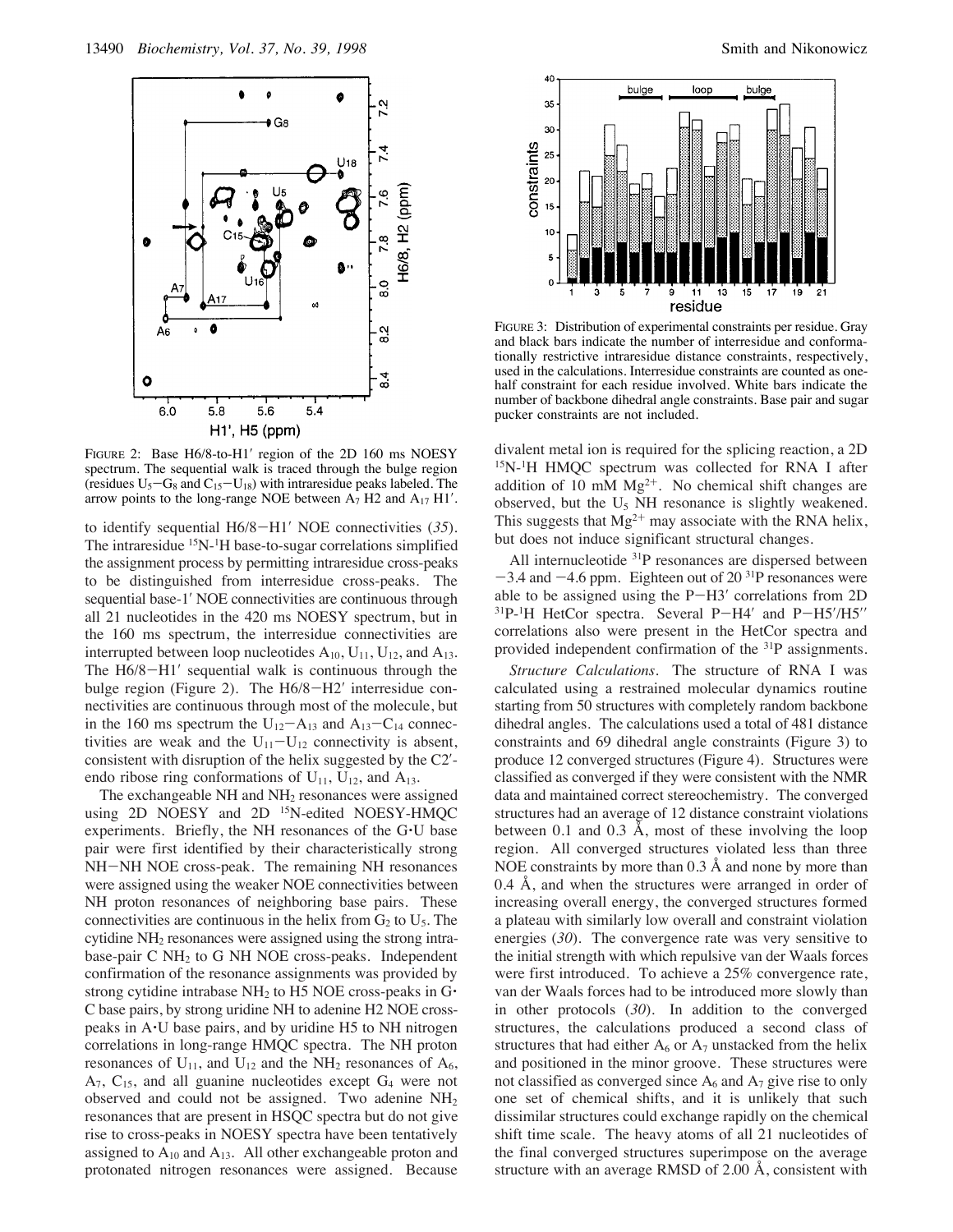

FIGURE 2: Base H6/8-to-H1′ region of the 2D 160 ms NOESY spectrum. The sequential walk is traced through the bulge region (residues  $U_5 - G_8$  and  $C_{15} - U_{18}$ ) with intraresidue peaks labeled. The arrow points to the long-range NOE between  $A_7$  H2 and  $A_{17}$  H1'.

to identify sequential H6/8-H1′ NOE connectivities (*35*). The intraresidue <sup>15</sup>N-<sup>1</sup>H base-to-sugar correlations simplified the assignment process by permitting intraresidue cross-peaks to be distinguished from interresidue cross-peaks. The sequential base-1′ NOE connectivities are continuous through all 21 nucleotides in the 420 ms NOESY spectrum, but in the 160 ms spectrum, the interresidue connectivities are interrupted between loop nucleotides  $A_{10}$ ,  $U_{11}$ ,  $U_{12}$ , and  $A_{13}$ . The H6/8-H1' sequential walk is continuous through the bulge region (Figure 2). The H6/8-H2′ interresidue connectivities are continuous through most of the molecule, but in the 160 ms spectrum the  $U_{12}-A_{13}$  and  $A_{13}-C_{14}$  connectivities are weak and the  $U_{11}-U_{12}$  connectivity is absent, consistent with disruption of the helix suggested by the C2′ endo ribose ring conformations of  $U_{11}$ ,  $U_{12}$ , and  $A_{13}$ .

The exchangeable NH and NH<sub>2</sub> resonances were assigned using 2D NOESY and 2D <sup>15</sup>N-edited NOESY-HMQC experiments. Briefly, the NH resonances of the G'U base pair were first identified by their characteristically strong NH-NH NOE cross-peak. The remaining NH resonances were assigned using the weaker NOE connectivities between NH proton resonances of neighboring base pairs. These connectivities are continuous in the helix from  $G_2$  to  $U_5$ . The cytidine NH2 resonances were assigned using the strong intrabase-pair  $C NH<sub>2</sub>$  to G NH NOE cross-peaks. Independent confirmation of the resonance assignments was provided by strong cytidine intrabase  $NH<sub>2</sub>$  to H5 NOE cross-peaks in G $\cdot$ C base pairs, by strong uridine NH to adenine H2 NOE crosspeaks in A'U base pairs, and by uridine H5 to NH nitrogen correlations in long-range HMQC spectra. The NH proton resonances of  $U_{11}$ , and  $U_{12}$  and the NH<sub>2</sub> resonances of  $A_6$ ,  $A_7$ ,  $C_{15}$ , and all guanine nucleotides except  $G_4$  were not observed and could not be assigned. Two adenine NH2 resonances that are present in HSQC spectra but do not give rise to cross-peaks in NOESY spectra have been tentatively assigned to  $A_{10}$  and  $A_{13}$ . All other exchangeable proton and protonated nitrogen resonances were assigned. Because



FIGURE 3: Distribution of experimental constraints per residue. Gray and black bars indicate the number of interresidue and conformationally restrictive intraresidue distance constraints, respectively, used in the calculations. Interresidue constraints are counted as onehalf constraint for each residue involved. White bars indicate the number of backbone dihedral angle constraints. Base pair and sugar pucker constraints are not included.

divalent metal ion is required for the splicing reaction, a 2D 15N-1H HMQC spectrum was collected for RNA I after addition of 10 mM  $Mg^{2+}$ . No chemical shift changes are observed, but the  $U_5$  NH resonance is slightly weakened. This suggests that  $Mg^{2+}$  may associate with the RNA helix, but does not induce significant structural changes.

All internucleotide <sup>31</sup>P resonances are dispersed between  $-3.4$  and  $-4.6$  ppm. Eighteen out of 20<sup>31</sup>P resonances were able to be assigned using the P-H3′ correlations from 2D 31P-1 H HetCor spectra. Several P-H4′ and P-H5′/H5′′ correlations also were present in the HetCor spectra and provided independent confirmation of the 31P assignments.

*Structure Calculations*. The structure of RNA I was calculated using a restrained molecular dynamics routine starting from 50 structures with completely random backbone dihedral angles. The calculations used a total of 481 distance constraints and 69 dihedral angle constraints (Figure 3) to produce 12 converged structures (Figure 4). Structures were classified as converged if they were consistent with the NMR data and maintained correct stereochemistry. The converged structures had an average of 12 distance constraint violations between 0.1 and 0.3 Å, most of these involving the loop region. All converged structures violated less than three NOE constraints by more than 0.3 Å and none by more than 0.4 Å, and when the structures were arranged in order of increasing overall energy, the converged structures formed a plateau with similarly low overall and constraint violation energies (*30*). The convergence rate was very sensitive to the initial strength with which repulsive van der Waals forces were first introduced. To achieve a 25% convergence rate, van der Waals forces had to be introduced more slowly than in other protocols (*30*). In addition to the converged structures, the calculations produced a second class of structures that had either  $A_6$  or  $A_7$  unstacked from the helix and positioned in the minor groove. These structures were not classified as converged since  $A_6$  and  $A_7$  give rise to only one set of chemical shifts, and it is unlikely that such dissimilar structures could exchange rapidly on the chemical shift time scale. The heavy atoms of all 21 nucleotides of the final converged structures superimpose on the average structure with an average RMSD of 2.00 Å, consistent with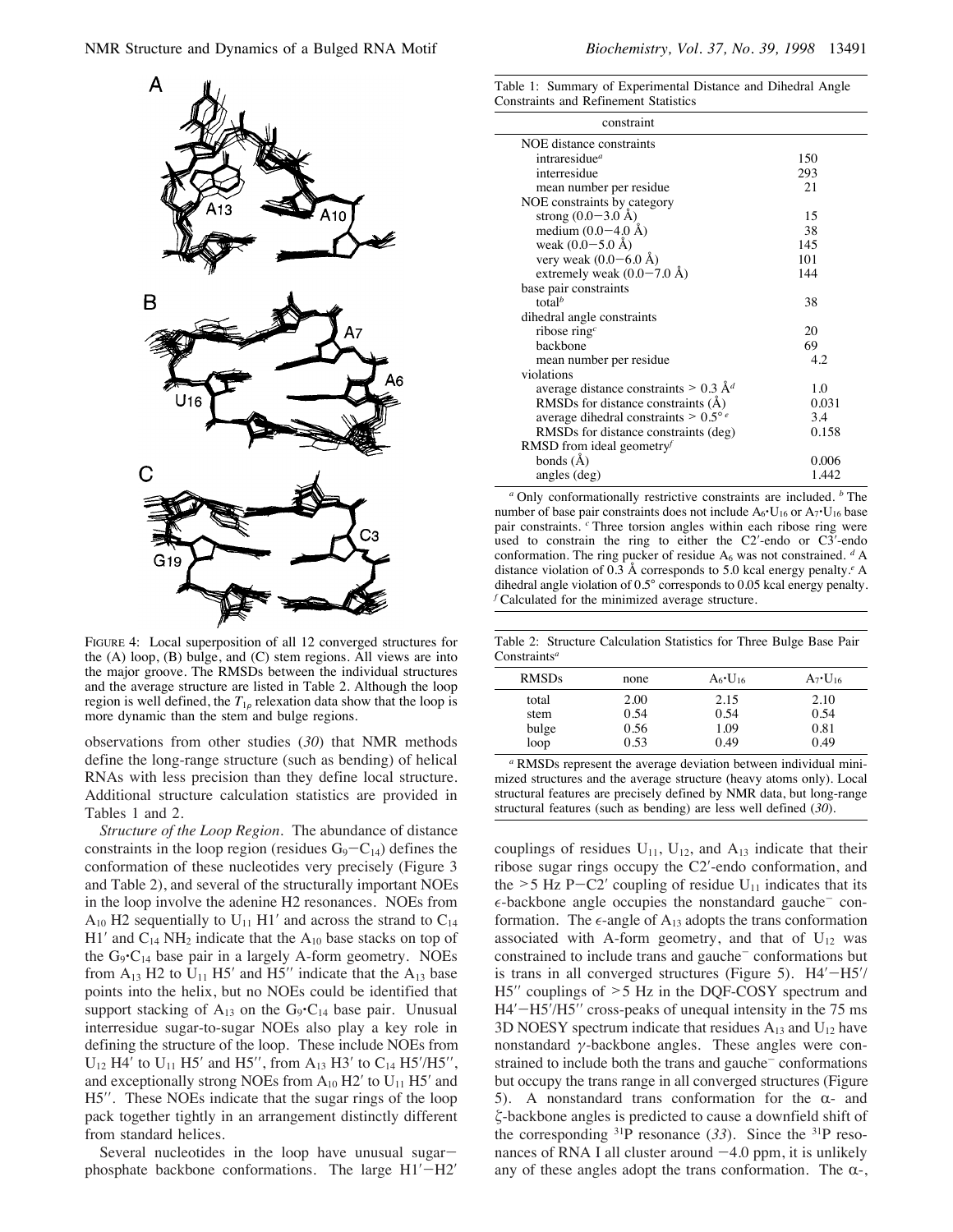

FIGURE 4: Local superposition of all 12 converged structures for the (A) loop, (B) bulge, and (C) stem regions. All views are into the major groove. The RMSDs between the individual structures and the average structure are listed in Table 2. Although the loop region is well defined, the  $T_{1\rho}$  relexation data show that the loop is more dynamic than the stem and bulge regions.

observations from other studies (*30*) that NMR methods define the long-range structure (such as bending) of helical RNAs with less precision than they define local structure. Additional structure calculation statistics are provided in Tables 1 and 2.

*Structure of the Loop Region.* The abundance of distance constraints in the loop region (residues  $G_9 - C_{14}$ ) defines the conformation of these nucleotides very precisely (Figure 3 and Table 2), and several of the structurally important NOEs in the loop involve the adenine H2 resonances. NOEs from  $A_{10}$  H2 sequentially to U<sub>11</sub> H1' and across the strand to C<sub>14</sub> H1' and  $C_{14}$  NH<sub>2</sub> indicate that the  $A_{10}$  base stacks on top of the  $G_9 \cdot C_{14}$  base pair in a largely A-form geometry. NOEs from  $A_{13}$  H2 to  $U_{11}$  H5' and H5'' indicate that the  $A_{13}$  base points into the helix, but no NOEs could be identified that support stacking of  $A_{13}$  on the  $G_9 \cdot C_{14}$  base pair. Unusual interresidue sugar-to-sugar NOEs also play a key role in defining the structure of the loop. These include NOEs from  $U_{12}$  H4' to  $U_{11}$  H5' and H5'', from  $A_{13}$  H3' to  $C_{14}$  H5'/H5'', and exceptionally strong NOEs from  $A_{10}$  H2' to  $U_{11}$  H5' and H5′′. These NOEs indicate that the sugar rings of the loop pack together tightly in an arrangement distinctly different from standard helices.

Several nucleotides in the loop have unusual sugarphosphate backbone conformations. The large H1′-H2′

|  | Table 1: Summary of Experimental Distance and Dihedral Angle |  |  |
|--|--------------------------------------------------------------|--|--|
|  | Constraints and Refinement Statistics                        |  |  |

| constraint                                     |       |
|------------------------------------------------|-------|
| NOE distance constraints                       |       |
| intraresidue <sup><i>a</i></sup>               | 150   |
| interresidue                                   | 293   |
| mean number per residue                        | 21    |
| NOE constraints by category                    |       |
| strong $(0.0-3.0 \text{ Å})$                   | 15    |
| medium $(0.0-4.0 \text{ Å})$                   | 38    |
| weak $(0.0 - 5.0 \text{ Å})$                   | 145   |
| very weak $(0.0-6.0 \text{ Å})$                | 101   |
| extremely weak $(0.0-7.0 \text{ Å})$           | 144   |
| base pair constraints                          |       |
| total $^b$                                     | 38    |
| dihedral angle constraints                     |       |
| ribose ring $c$                                | 20    |
| hackbone                                       | 69    |
| mean number per residue                        | 4.2   |
| violations                                     |       |
| average distance constraints > 0.3 $Ad$        | 1.0   |
| RMSDs for distance constraints (A)             | 0.031 |
| average dihedral constraints $> 0.5^{\circ} e$ | 3.4   |
| RMSDs for distance constraints (deg)           | 0.158 |
| RMSD from ideal geometry                       |       |
| bonds $(\AA)$                                  | 0.006 |
| angles (deg)                                   | 1.442 |
|                                                |       |

*<sup>a</sup>* Only conformationally restrictive constraints are included. *<sup>b</sup>* The number of base pair constraints does not include  $A_6 \cdot U_{16}$  or  $A_7 \cdot U_{16}$  base pair constraints. *<sup>c</sup>* Three torsion angles within each ribose ring were used to constrain the ring to either the C2′-endo or C3′-endo conformation. The ring pucker of residue A<sub>6</sub> was not constrained. <sup>*d*</sup> A distance violation of 0.3 Å corresponds to 5.0 kcal energy penalty.*<sup>e</sup>* A dihedral angle violation of 0.5° corresponds to 0.05 kcal energy penalty. *<sup>f</sup>* Calculated for the minimized average structure.

Table 2: Structure Calculation Statistics for Three Bulge Base Pair Constraints*<sup>a</sup>*

| <b>RMSDs</b> | none | $A_6 \cdot U_{16}$ | $A_7 \cdot U_{16}$ |
|--------------|------|--------------------|--------------------|
| total        | 2.00 | 2.15               | 2.10               |
| stem         | 0.54 | 0.54               | 0.54               |
| bulge        | 0.56 | 1.09               | 0.81               |
| loop         | 0.53 | 0.49               | 0.49               |

*<sup>a</sup>* RMSDs represent the average deviation between individual minimized structures and the average structure (heavy atoms only). Local structural features are precisely defined by NMR data, but long-range structural features (such as bending) are less well defined (*30*).

couplings of residues  $U_{11}$ ,  $U_{12}$ , and  $A_{13}$  indicate that their ribose sugar rings occupy the C2′-endo conformation, and the  $>$  5 Hz P-C2' coupling of residue U<sub>11</sub> indicates that its  $\epsilon$ -backbone angle occupies the nonstandard gauche<sup>-</sup> conformation. The  $\epsilon$ -angle of  $A_{13}$  adopts the trans conformation associated with A-form geometry, and that of  $U_{12}$  was constrained to include trans and gauche<sup>-</sup> conformations but is trans in all converged structures (Figure 5). H4′-H5′/ H5′′ couplings of >5 Hz in the DQF-COSY spectrum and H4′–H5′/H5′′ cross-peaks of unequal intensity in the 75 ms 3D NOESY spectrum indicate that residues  $A_{13}$  and  $U_{12}$  have nonstandard  $γ$ -backbone angles. These angles were constrained to include both the trans and gauche<sup>-</sup> conformations but occupy the trans range in all converged structures (Figure 5). A nonstandard trans conformation for the  $\alpha$ - and \$-backbone angles is predicted to cause a downfield shift of the corresponding 31P resonance (*33*). Since the 31P resonances of RNA I all cluster around  $-4.0$  ppm, it is unlikely any of these angles adopt the trans conformation. The  $\alpha$ -,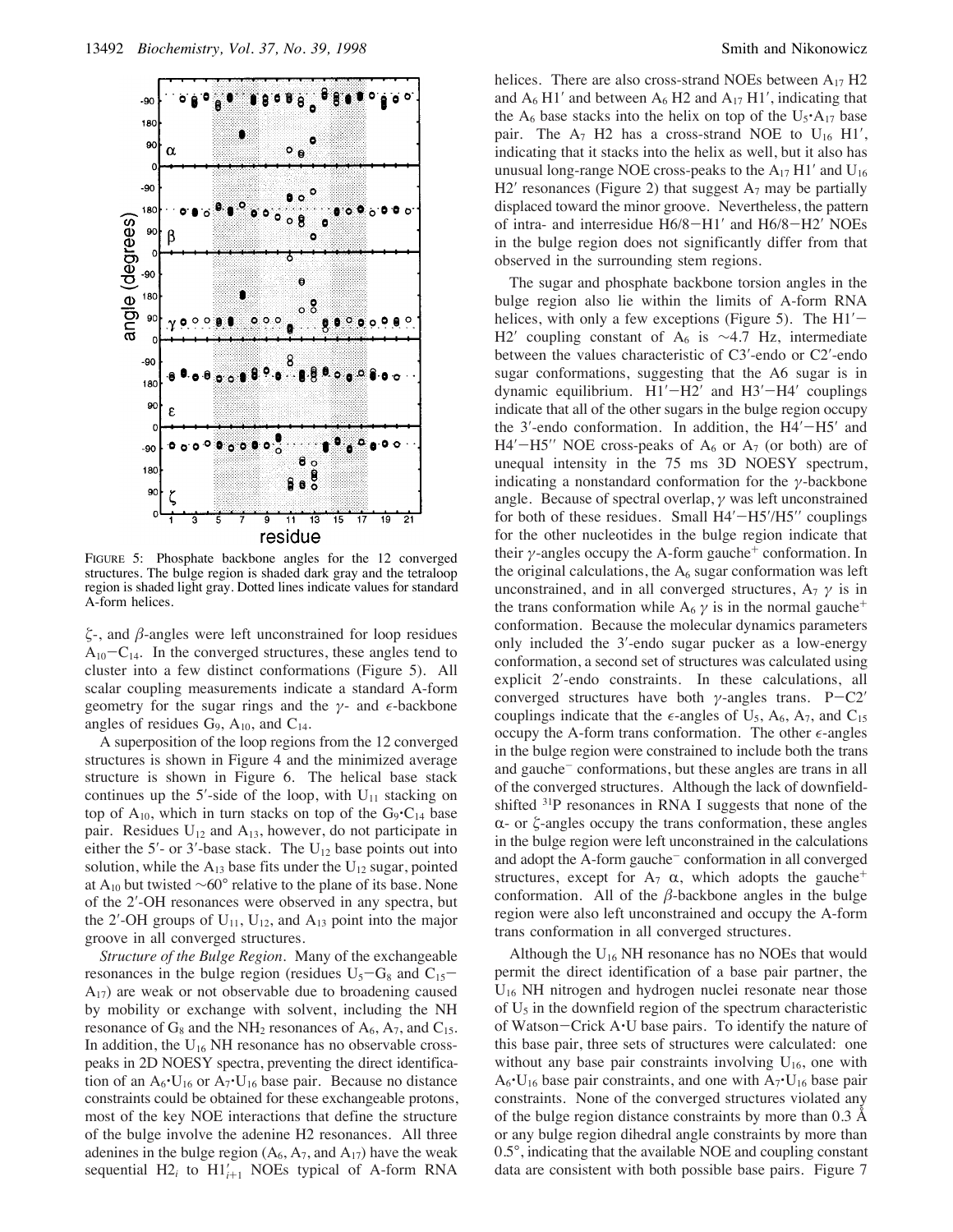

helices. There are also cross-strand NOEs between  $A_{17}$  H2 and  $A_6$  H1' and between  $A_6$  H2 and  $A_{17}$  H1', indicating that the  $A_6$  base stacks into the helix on top of the U<sub>5</sub> $\cdot$ A<sub>17</sub> base pair. The  $A_7$  H2 has a cross-strand NOE to  $U_{16}$  H1', indicating that it stacks into the helix as well, but it also has unusual long-range NOE cross-peaks to the  $A_{17}$  H1' and  $U_{16}$ H2' resonances (Figure 2) that suggest  $A_7$  may be partially displaced toward the minor groove. Nevertheless, the pattern of intra- and interresidue H6/8-H1′ and H6/8-H2′ NOEs in the bulge region does not significantly differ from that observed in the surrounding stem regions.

The sugar and phosphate backbone torsion angles in the bulge region also lie within the limits of A-form RNA helices, with only a few exceptions (Figure 5). The  $H1'$ H2′ coupling constant of A<sub>6</sub> is  $\sim$ 4.7 Hz, intermediate between the values characteristic of C3′-endo or C2′-endo sugar conformations, suggesting that the A6 sugar is in dynamic equilibrium. H1′−H2′ and H3′−H4′ couplings indicate that all of the other sugars in the bulge region occupy the 3'-endo conformation. In addition, the H4'-H5' and  $H4'$ -H5'' NOE cross-peaks of  $A_6$  or  $A_7$  (or both) are of unequal intensity in the 75 ms 3D NOESY spectrum, indicating a nonstandard conformation for the  $\gamma$ -backbone angle. Because of spectral overlap,  $\gamma$  was left unconstrained for both of these residues. Small  $H4'$ - $H5''H5''$  couplings for the other nucleotides in the bulge region indicate that their  $\gamma$ -angles occupy the A-form gauche<sup>+</sup> conformation. In the original calculations, the  $A_6$  sugar conformation was left unconstrained, and in all converged structures,  $A_7 \gamma$  is in the trans conformation while A<sub>6</sub>  $\gamma$  is in the normal gauche<sup>+</sup> conformation. Because the molecular dynamics parameters only included the 3′-endo sugar pucker as a low-energy conformation, a second set of structures was calculated using explicit 2′-endo constraints. In these calculations, all converged structures have both  $\gamma$ -angles trans. P-C2' couplings indicate that the  $\epsilon$ -angles of U<sub>5</sub>, A<sub>6</sub>, A<sub>7</sub>, and C<sub>15</sub> occupy the A-form trans conformation. The other  $\epsilon$ -angles in the bulge region were constrained to include both the trans and gauche<sup>-</sup> conformations, but these angles are trans in all of the converged structures. Although the lack of downfieldshifted 31P resonances in RNA I suggests that none of the  $\alpha$ - or  $\zeta$ -angles occupy the trans conformation, these angles in the bulge region were left unconstrained in the calculations and adopt the A-form gauche<sup>-</sup> conformation in all converged structures, except for  $A_7$   $\alpha$ , which adopts the gauche<sup>+</sup> conformation. All of the  $\beta$ -backbone angles in the bulge region were also left unconstrained and occupy the A-form trans conformation in all converged structures.

Although the  $U_{16}$  NH resonance has no NOEs that would permit the direct identification of a base pair partner, the U16 NH nitrogen and hydrogen nuclei resonate near those of  $U_5$  in the downfield region of the spectrum characteristic of Watson-Crick A'U base pairs. To identify the nature of this base pair, three sets of structures were calculated: one without any base pair constraints involving  $U_{16}$ , one with  $A_6$ <sup>-</sup>U<sub>16</sub> base pair constraints, and one with  $A_7$ <sup>-</sup>U<sub>16</sub> base pair constraints. None of the converged structures violated any of the bulge region distance constraints by more than 0.3 Å or any bulge region dihedral angle constraints by more than 0.5°, indicating that the available NOE and coupling constant data are consistent with both possible base pairs. Figure 7

FIGURE 5: Phosphate backbone angles for the 12 converged structures. The bulge region is shaded dark gray and the tetraloop region is shaded light gray. Dotted lines indicate values for standard A-form helices.

 $\xi$ -, and  $\beta$ -angles were left unconstrained for loop residues  $A_{10}-C_{14}$ . In the converged structures, these angles tend to cluster into a few distinct conformations (Figure 5). All scalar coupling measurements indicate a standard A-form geometry for the sugar rings and the  $\gamma$ - and  $\epsilon$ -backbone angles of residues  $G_9$ ,  $A_{10}$ , and  $C_{14}$ .

A superposition of the loop regions from the 12 converged structures is shown in Figure 4 and the minimized average structure is shown in Figure 6. The helical base stack continues up the 5'-side of the loop, with  $U_{11}$  stacking on top of  $A_{10}$ , which in turn stacks on top of the  $G_9 \cdot C_{14}$  base pair. Residues  $U_{12}$  and  $A_{13}$ , however, do not participate in either the 5'- or 3'-base stack. The  $U_{12}$  base points out into solution, while the  $A_{13}$  base fits under the  $U_{12}$  sugar, pointed at A<sub>10</sub> but twisted  $\sim 60^{\circ}$  relative to the plane of its base. None of the 2′-OH resonances were observed in any spectra, but the 2'-OH groups of  $U_{11}$ ,  $U_{12}$ , and  $A_{13}$  point into the major groove in all converged structures.

*Structure of the Bulge Region.* Many of the exchangeable resonances in the bulge region (residues  $U_5-G_8$  and  $C_{15}$ - $A_{17}$ ) are weak or not observable due to broadening caused by mobility or exchange with solvent, including the NH resonance of  $G_8$  and the NH<sub>2</sub> resonances of  $A_6$ ,  $A_7$ , and  $C_{15}$ . In addition, the  $U_{16}$  NH resonance has no observable crosspeaks in 2D NOESY spectra, preventing the direct identification of an  $A_6$ <sup>-</sup>U<sub>16</sub> or  $A_7$ <sup>-</sup>U<sub>16</sub> base pair. Because no distance constraints could be obtained for these exchangeable protons, most of the key NOE interactions that define the structure of the bulge involve the adenine H2 resonances. All three adenines in the bulge region  $(A_6, A_7, A_8)$  have the weak sequential  $H2_i$  to  $H1'_{i+1}$  NOEs typical of A-form RNA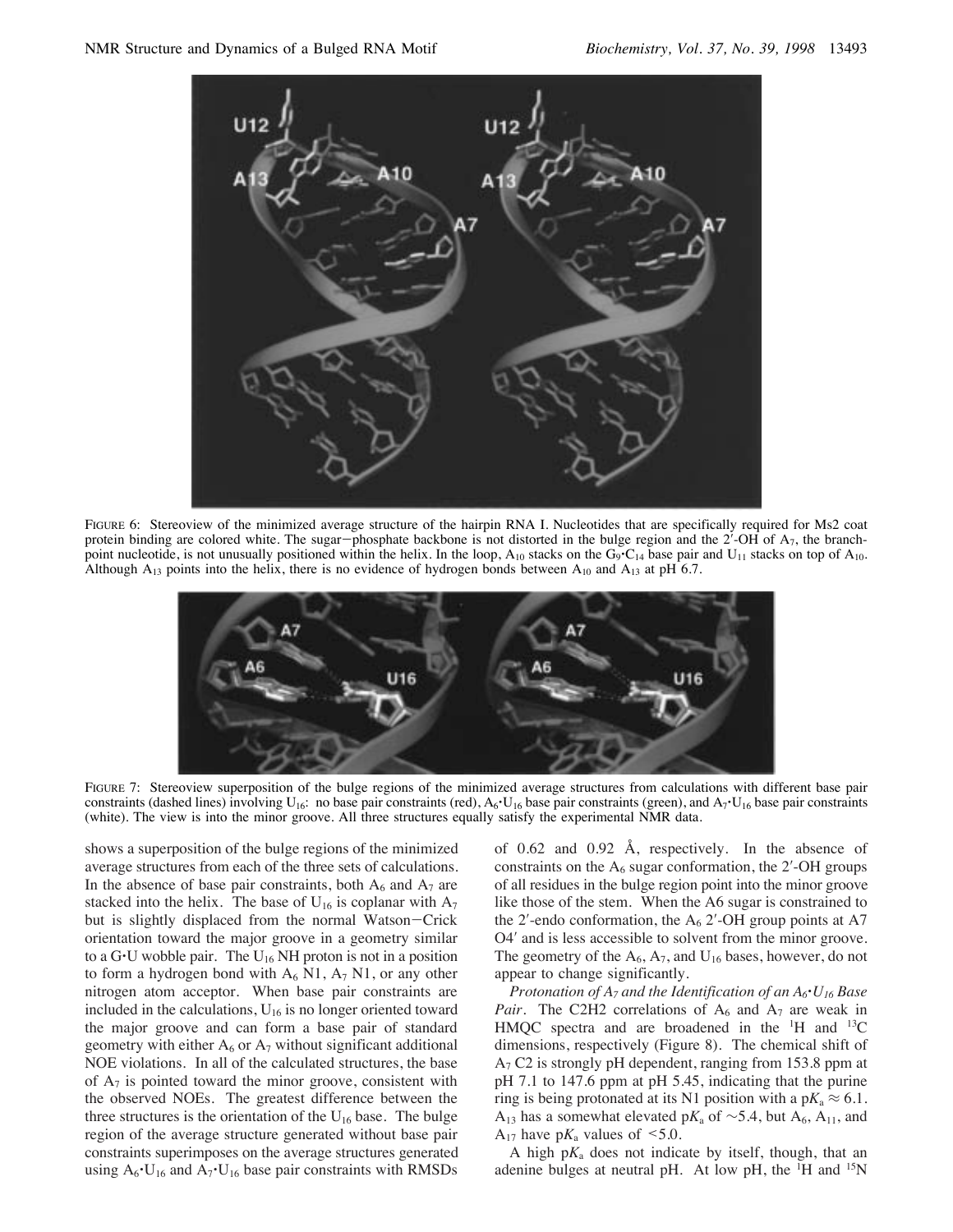

FIGURE 6: Stereoview of the minimized average structure of the hairpin RNA I. Nucleotides that are specifically required for Ms2 coat protein binding are colored white. The sugar-phosphate backbone is not distorted in the bulge region and the  $2^7$ -OH of  $A_7$ , the branchpoint nucleotide, is not unusually positioned within the helix. In the loop,  $A_{10}$  stacks on the G<sub>9</sub>·C<sub>14</sub> base pair and U<sub>11</sub> stacks on top of  $A_{10}$ . Although  $A_{13}$  points into the helix, there is no evidence of hydrogen bonds between  $A_{10}$  and  $A_{13}$  at pH 6.7.



FIGURE 7: Stereoview superposition of the bulge regions of the minimized average structures from calculations with different base pair constraints (dashed lines) involving  $U_{16}$ : no base pair constraints (red),  $A_6$ 'U<sub>16</sub> base pair constraints (green), and  $A_7$ 'U<sub>16</sub> base pair constraints (white). The view is into the minor groove. All three structures equally satisfy the experimental NMR data.

shows a superposition of the bulge regions of the minimized average structures from each of the three sets of calculations. In the absence of base pair constraints, both  $A_6$  and  $A_7$  are stacked into the helix. The base of  $U_{16}$  is coplanar with  $A_7$ but is slightly displaced from the normal Watson-Crick orientation toward the major groove in a geometry similar to a G.U wobble pair. The  $U_{16}$  NH proton is not in a position to form a hydrogen bond with  $A_6$  N1,  $A_7$  N1, or any other nitrogen atom acceptor. When base pair constraints are included in the calculations,  $U_{16}$  is no longer oriented toward the major groove and can form a base pair of standard geometry with either  $A_6$  or  $A_7$  without significant additional NOE violations. In all of the calculated structures, the base of  $A_7$  is pointed toward the minor groove, consistent with the observed NOEs. The greatest difference between the three structures is the orientation of the  $U_{16}$  base. The bulge region of the average structure generated without base pair constraints superimposes on the average structures generated using  $A_6$ <sup>\*</sup>U<sub>16</sub> and  $A_7$ <sup>\*</sup>U<sub>16</sub> base pair constraints with RMSDs

of 0.62 and 0.92 Å, respectively. In the absence of constraints on the  $A<sub>6</sub>$  sugar conformation, the 2'-OH groups of all residues in the bulge region point into the minor groove like those of the stem. When the A6 sugar is constrained to the 2'-endo conformation, the  $A_6$  2'-OH group points at A7 O4′ and is less accessible to solvent from the minor groove. The geometry of the  $A_6$ ,  $A_7$ , and  $U_{16}$  bases, however, do not appear to change significantly.

*Protonation of A7 and the Identification of an A6*'*U16 Base Pair.* The C2H2 correlations of  $A_6$  and  $A_7$  are weak in HMQC spectra and are broadened in the <sup>1</sup>H and <sup>13</sup>C dimensions, respectively (Figure 8). The chemical shift of  $A<sub>7</sub>$  C2 is strongly pH dependent, ranging from 153.8 ppm at pH 7.1 to 147.6 ppm at pH 5.45, indicating that the purine ring is being protonated at its N1 position with a  $pK_a \approx 6.1$ . A<sub>13</sub> has a somewhat elevated p $K_a$  of ~5.4, but A<sub>6</sub>, A<sub>11</sub>, and  $A_{17}$  have p $K_a$  values of  $\leq 5.0$ .

A high  $pK_a$  does not indicate by itself, though, that an adenine bulges at neutral pH. At low pH, the  ${}^{1}$ H and  ${}^{15}N$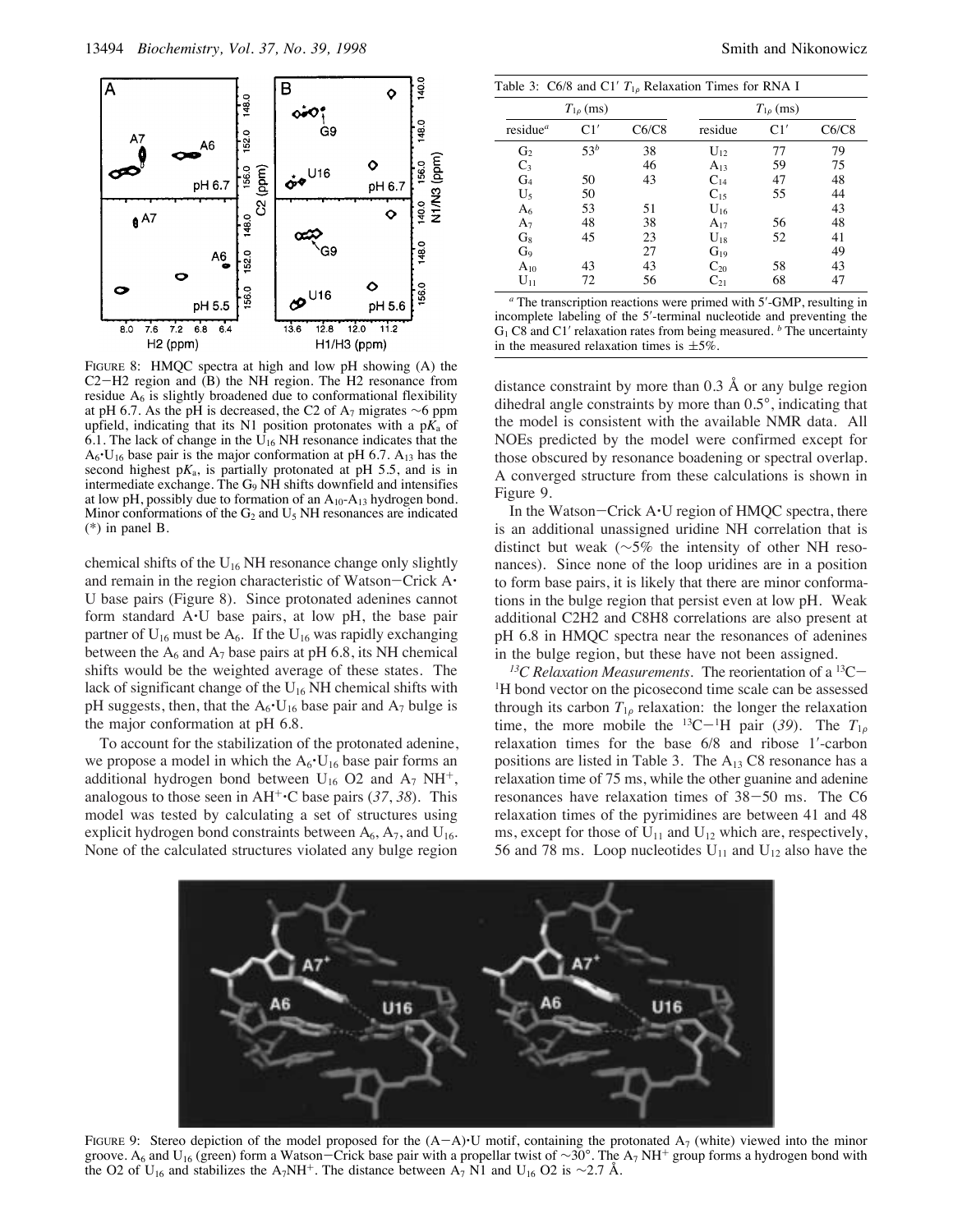

FIGURE 8: HMQC spectra at high and low pH showing (A) the C2-H2 region and (B) the NH region. The H2 resonance from residue  $A<sub>6</sub>$  is slightly broadened due to conformational flexibility at pH 6.7. As the pH is decreased, the C2 of A<sub>7</sub> migrates ∼6 ppm upfield, indicating that its N1 position protonates with a  $pK_a$  of 6.1. The lack of change in the  $U_{16}$  NH resonance indicates that the  $A_6$ <sup>-</sup>U<sub>16</sub> base pair is the major conformation at pH 6.7.  $A_{13}$  has the second highest  $pK_a$ , is partially protonated at  $pH$  5.5, and is in intermediate exchange. The G9 NH shifts downfield and intensifies at low pH, possibly due to formation of an  $A_{10}$ - $A_{13}$  hydrogen bond. Minor conformations of the  $G_2$  and  $U_5$  NH resonances are indicated (\*) in panel B.

chemical shifts of the  $U_{16}$  NH resonance change only slightly and remain in the region characteristic of Watson-Crick A' U base pairs (Figure 8). Since protonated adenines cannot form standard A'U base pairs, at low pH, the base pair partner of  $U_{16}$  must be  $A_6$ . If the  $U_{16}$  was rapidly exchanging between the  $A_6$  and  $A_7$  base pairs at pH 6.8, its NH chemical shifts would be the weighted average of these states. The lack of significant change of the  $U_{16}$  NH chemical shifts with pH suggests, then, that the  $A_6$ <sup>-</sup>U<sub>16</sub> base pair and  $A_7$  bulge is the major conformation at pH 6.8.

To account for the stabilization of the protonated adenine, we propose a model in which the  $A_6$ <sup>-</sup>U<sub>16</sub> base pair forms an additional hydrogen bond between  $U_{16}$  O2 and  $A_7$  NH<sup>+</sup>, analogous to those seen in  $AH^{\dagger}$ <sup>+</sup>C base pairs (37, 38). This model was tested by calculating a set of structures using explicit hydrogen bond constraints between  $A_6$ ,  $A_7$ , and  $U_{16}$ . None of the calculated structures violated any bulge region

| Table 3: $C6/8$ and $C1' T_{10}$ Relaxation Times for RNA I |                  |       |                   |                  |       |  |
|-------------------------------------------------------------|------------------|-------|-------------------|------------------|-------|--|
|                                                             | $T_{1\rho}$ (ms) |       |                   | $T_{1\rho}$ (ms) |       |  |
| residue <sup>a</sup>                                        | C1'              | C6/C8 | residue           | C1'              | C6/C8 |  |
| G <sub>2</sub>                                              | 53 <sup>b</sup>  | 38    | $U_{12}$          | 77               | 79    |  |
| $C_3$                                                       |                  | 46    | $A_{13}$          | 59               | 75    |  |
| G <sub>4</sub>                                              | 50               | 43    | $C_{14}$          | 47               | 48    |  |
| U,                                                          | 50               |       | $C_{15}$          | 55               | 44    |  |
| A <sub>6</sub>                                              | 53               | 51    | $U_{16}$          |                  | 43    |  |
| $A_7$                                                       | 48               | 38    | $A_{17}$          | 56               | 48    |  |
| $G_8$                                                       | 45               | 23    | $U_{18}$          | 52               | 41    |  |
| G <sub>9</sub>                                              |                  | 27    | $G_{19}$          |                  | 49    |  |
| $A_{10}$                                                    | 43               | 43    | $C_{20}$          | 58               | 43    |  |
| ${\rm U}_{11}$                                              | 72               | 56    | $\mathrm{C}_{21}$ | 68               | 47    |  |

*<sup>a</sup>* The transcription reactions were primed with 5′-GMP, resulting in incomplete labeling of the 5′-terminal nucleotide and preventing the G1 C8 and C1′ relaxation rates from being measured. *<sup>b</sup>* The uncertainty in the measured relaxation times is  $\pm 5\%$ .

distance constraint by more than 0.3 Å or any bulge region dihedral angle constraints by more than 0.5°, indicating that the model is consistent with the available NMR data. All NOEs predicted by the model were confirmed except for those obscured by resonance boadening or spectral overlap. A converged structure from these calculations is shown in Figure 9.

In the Watson-Crick  $A \cdot U$  region of HMQC spectra, there is an additional unassigned uridine NH correlation that is distinct but weak (∼5% the intensity of other NH resonances). Since none of the loop uridines are in a position to form base pairs, it is likely that there are minor conformations in the bulge region that persist even at low pH. Weak additional C2H2 and C8H8 correlations are also present at pH 6.8 in HMQC spectra near the resonances of adenines in the bulge region, but these have not been assigned.

*13C Relaxation Measurements.* The reorientation of a 13C- <sup>1</sup>H bond vector on the picosecond time scale can be assessed through its carbon  $T_{1\rho}$  relaxation: the longer the relaxation time, the more mobile the <sup>13</sup>C-<sup>1</sup>H pair (39). The  $T_{1\rho}$ relaxation times for the base 6/8 and ribose 1′-carbon positions are listed in Table 3. The  $A_{13}$  C8 resonance has a relaxation time of 75 ms, while the other guanine and adenine resonances have relaxation times of 38-50 ms. The C6 relaxation times of the pyrimidines are between 41 and 48 ms, except for those of  $U_{11}$  and  $U_{12}$  which are, respectively, 56 and 78 ms. Loop nucleotides  $U_{11}$  and  $U_{12}$  also have the

![](_page_8_Figure_11.jpeg)

FIGURE 9: Stereo depiction of the model proposed for the  $(A-A)$ <sup>U</sup> motif, containing the protonated  $A_7$  (white) viewed into the minor groove. A<sub>6</sub> and U<sub>16</sub> (green) form a Watson-Crick base pair with a propellar twist of ∼30°. The A<sub>7</sub> NH<sup>+</sup> group forms a hydrogen bond with the O2 of U<sub>16</sub> and stabilizes the A<sub>7</sub>NH<sup>+</sup>. The distance between A<sub>7</sub> N1 and U<sub>16</sub> O2 is ~2.7 Å.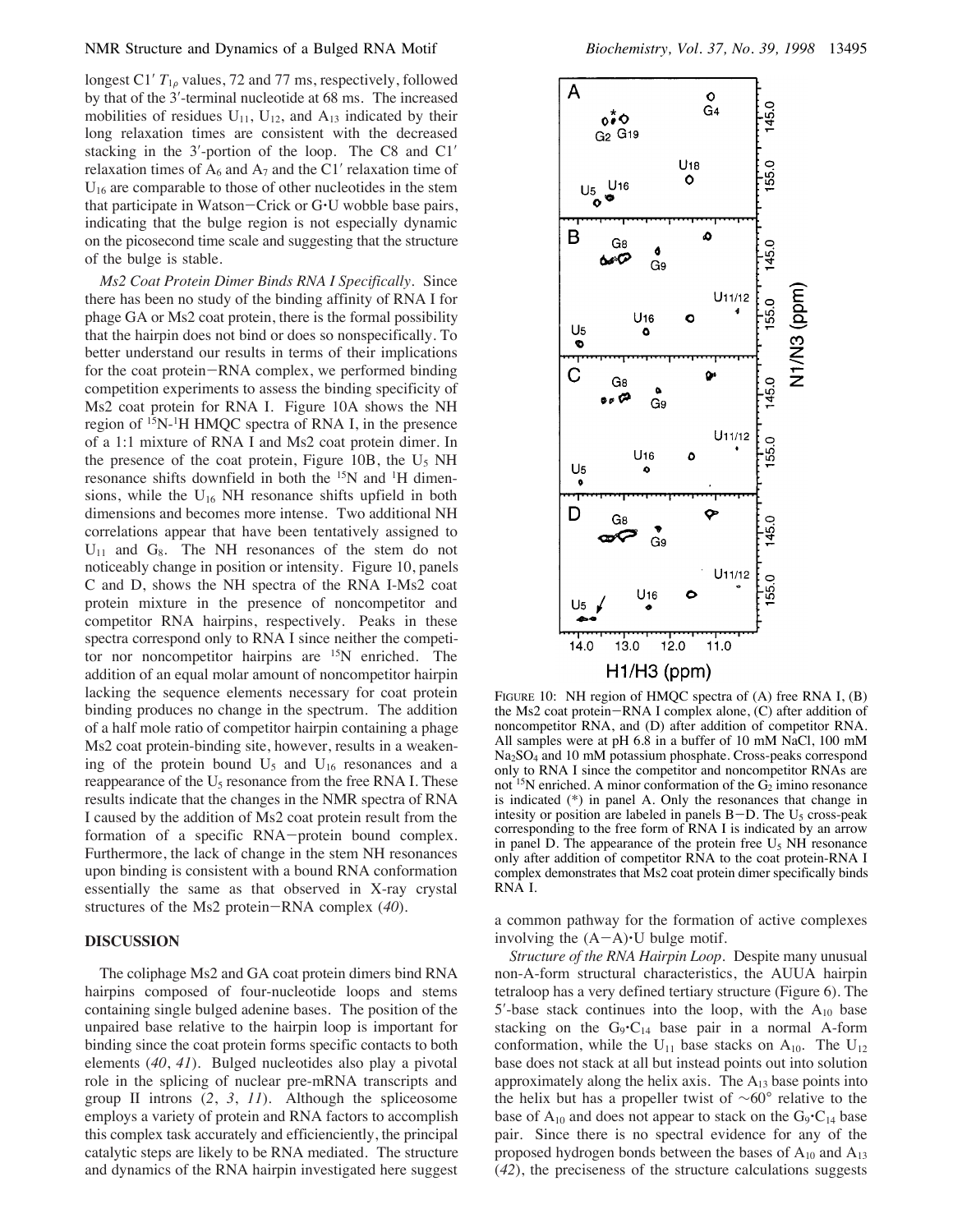longest C1<sup> $\prime$ </sup>  $T_{1\rho}$  values, 72 and 77 ms, respectively, followed by that of the 3′-terminal nucleotide at 68 ms. The increased mobilities of residues  $U_{11}$ ,  $U_{12}$ , and  $A_{13}$  indicated by their long relaxation times are consistent with the decreased stacking in the 3′-portion of the loop. The C8 and C1′ relaxation times of  $A_6$  and  $A_7$  and the C1' relaxation time of  $U_{16}$  are comparable to those of other nucleotides in the stem that participate in Watson-Crick or G'U wobble base pairs, indicating that the bulge region is not especially dynamic on the picosecond time scale and suggesting that the structure of the bulge is stable.

*Ms2 Coat Protein Dimer Binds RNA I Specifically.* Since there has been no study of the binding affinity of RNA I for phage GA or Ms2 coat protein, there is the formal possibility that the hairpin does not bind or does so nonspecifically. To better understand our results in terms of their implications for the coat protein-RNA complex, we performed binding competition experiments to assess the binding specificity of Ms2 coat protein for RNA I. Figure 10A shows the NH region of 15N-1H HMQC spectra of RNA I, in the presence of a 1:1 mixture of RNA I and Ms2 coat protein dimer. In the presence of the coat protein, Figure 10B, the  $U_5$  NH resonance shifts downfield in both the 15N and 1H dimensions, while the  $U_{16}$  NH resonance shifts upfield in both dimensions and becomes more intense. Two additional NH correlations appear that have been tentatively assigned to  $U_{11}$  and  $G_8$ . The NH resonances of the stem do not noticeably change in position or intensity. Figure 10, panels C and D, shows the NH spectra of the RNA I-Ms2 coat protein mixture in the presence of noncompetitor and competitor RNA hairpins, respectively. Peaks in these spectra correspond only to RNA I since neither the competitor nor noncompetitor hairpins are <sup>15</sup>N enriched. The addition of an equal molar amount of noncompetitor hairpin lacking the sequence elements necessary for coat protein binding produces no change in the spectrum. The addition of a half mole ratio of competitor hairpin containing a phage Ms2 coat protein-binding site, however, results in a weakening of the protein bound  $U_5$  and  $U_{16}$  resonances and a reappearance of the U<sub>5</sub> resonance from the free RNA I. These results indicate that the changes in the NMR spectra of RNA I caused by the addition of Ms2 coat protein result from the formation of a specific RNA-protein bound complex. Furthermore, the lack of change in the stem NH resonances upon binding is consistent with a bound RNA conformation essentially the same as that observed in X-ray crystal structures of the Ms2 protein-RNA complex (*40*).

## **DISCUSSION**

The coliphage Ms2 and GA coat protein dimers bind RNA hairpins composed of four-nucleotide loops and stems containing single bulged adenine bases. The position of the unpaired base relative to the hairpin loop is important for binding since the coat protein forms specific contacts to both elements (*40*, *41*). Bulged nucleotides also play a pivotal role in the splicing of nuclear pre-mRNA transcripts and group II introns (*2*, *3*, *11*). Although the spliceosome employs a variety of protein and RNA factors to accomplish this complex task accurately and efficienciently, the principal catalytic steps are likely to be RNA mediated. The structure and dynamics of the RNA hairpin investigated here suggest

![](_page_9_Figure_6.jpeg)

FIGURE 10: NH region of HMQC spectra of (A) free RNA I, (B) the Ms2 coat protein-RNA I complex alone, (C) after addition of noncompetitor RNA, and (D) after addition of competitor RNA. All samples were at pH 6.8 in a buffer of 10 mM NaCl, 100 mM Na2SO4 and 10 mM potassium phosphate. Cross-peaks correspond only to RNA I since the competitor and noncompetitor RNAs are not <sup>15</sup>N enriched. A minor conformation of the  $G_2$  imino resonance is indicated (\*) in panel A. Only the resonances that change in intesity or position are labeled in panels  $B-D$ . The  $U<sub>5</sub>$  cross-peak corresponding to the free form of RNA I is indicated by an arrow in panel D. The appearance of the protein free  $U_5$  NH resonance only after addition of competitor RNA to the coat protein-RNA I complex demonstrates that Ms2 coat protein dimer specifically binds RNA I.

a common pathway for the formation of active complexes involving the  $(A-A)\cdot U$  bulge motif.

*Structure of the RNA Hairpin Loop.* Despite many unusual non-A-form structural characteristics, the AUUA hairpin tetraloop has a very defined tertiary structure (Figure 6). The  $5'$ -base stack continues into the loop, with the  $A_{10}$  base stacking on the  $G_9 \cdot C_{14}$  base pair in a normal A-form conformation, while the  $U_{11}$  base stacks on  $A_{10}$ . The  $U_{12}$ base does not stack at all but instead points out into solution approximately along the helix axis. The  $A_{13}$  base points into the helix but has a propeller twist of ∼60° relative to the base of  $A_{10}$  and does not appear to stack on the  $G_9 \cdot C_{14}$  base pair. Since there is no spectral evidence for any of the proposed hydrogen bonds between the bases of  $A_{10}$  and  $A_{13}$ (*42*), the preciseness of the structure calculations suggests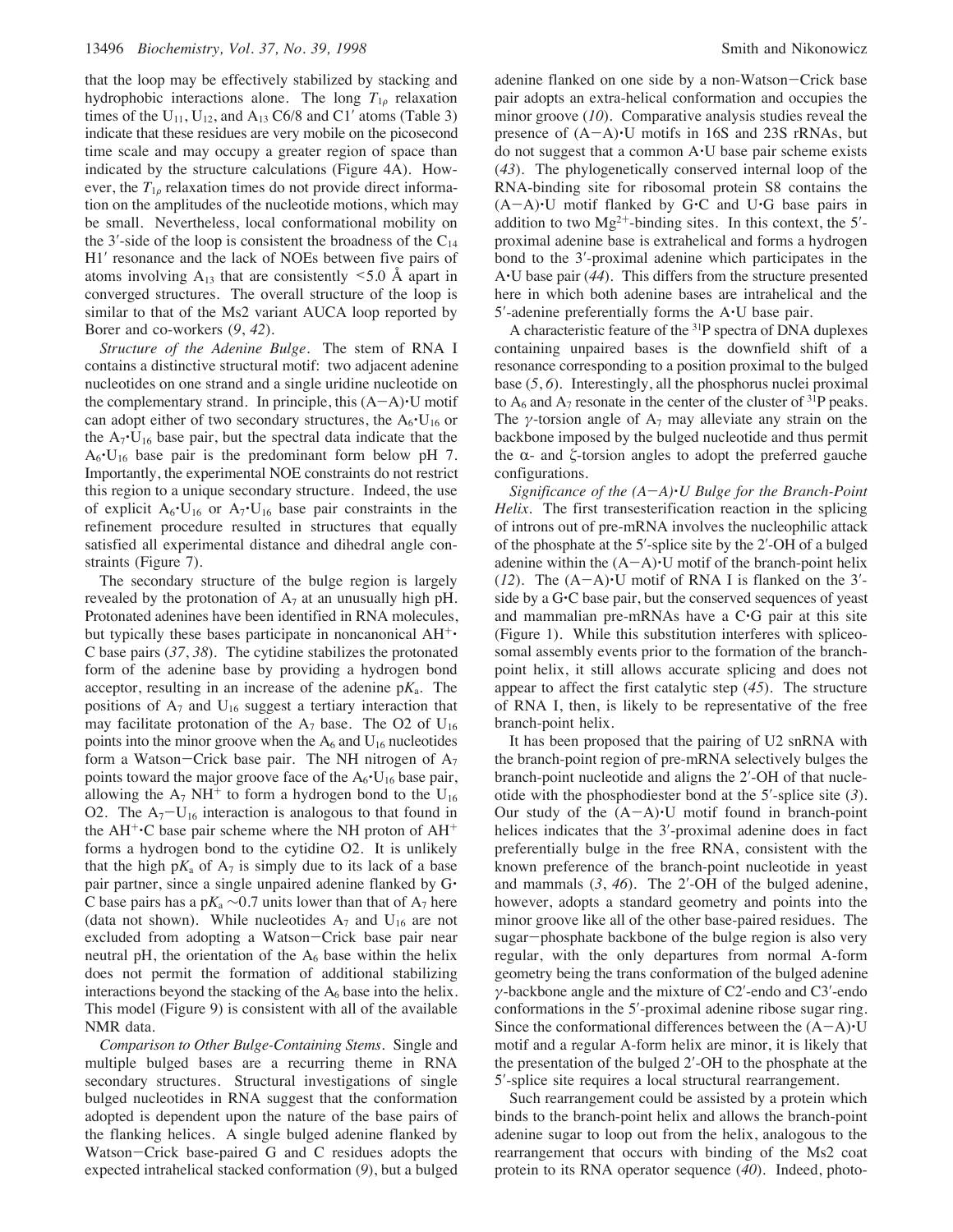that the loop may be effectively stabilized by stacking and hydrophobic interactions alone. The long  $T_{1\rho}$  relaxation times of the  $U_{11}$ ,  $U_{12}$ , and  $A_{13}$  C6/8 and C1' atoms (Table 3) indicate that these residues are very mobile on the picosecond time scale and may occupy a greater region of space than indicated by the structure calculations (Figure 4A). However, the  $T_{1\rho}$  relaxation times do not provide direct information on the amplitudes of the nucleotide motions, which may be small. Nevertheless, local conformational mobility on the 3'-side of the loop is consistent the broadness of the  $C_{14}$ H1′ resonance and the lack of NOEs between five pairs of atoms involving  $A_{13}$  that are consistently <5.0 Å apart in converged structures. The overall structure of the loop is similar to that of the Ms2 variant AUCA loop reported by Borer and co-workers (*9*, *42*).

*Structure of the Adenine Bulge.* The stem of RNA I contains a distinctive structural motif: two adjacent adenine nucleotides on one strand and a single uridine nucleotide on the complementary strand. In principle, this  $(A-A)\cdot U$  motif can adopt either of two secondary structures, the  $A_6$ <sup>-</sup>U<sub>16</sub> or the  $A_7$ <sup>-</sup>U<sub>16</sub> base pair, but the spectral data indicate that the  $A_6$ <sup>-</sup>U<sub>16</sub> base pair is the predominant form below pH 7. Importantly, the experimental NOE constraints do not restrict this region to a unique secondary structure. Indeed, the use of explicit  $A_6$ <sup>-</sup>U<sub>16</sub> or  $A_7$ <sup>-</sup>U<sub>16</sub> base pair constraints in the refinement procedure resulted in structures that equally satisfied all experimental distance and dihedral angle constraints (Figure 7).

The secondary structure of the bulge region is largely revealed by the protonation of  $A_7$  at an unusually high pH. Protonated adenines have been identified in RNA molecules, but typically these bases participate in noncanonical  $AH^+$ C base pairs (*37*, *38*). The cytidine stabilizes the protonated form of the adenine base by providing a hydrogen bond acceptor, resulting in an increase of the adenine  $pK_a$ . The positions of  $A_7$  and  $U_{16}$  suggest a tertiary interaction that may facilitate protonation of the  $A_7$  base. The O2 of  $U_{16}$ points into the minor groove when the  $A_6$  and  $U_{16}$  nucleotides form a Watson-Crick base pair. The NH nitrogen of  $A_7$ points toward the major groove face of the  $A_6$ <sup>-</sup>U<sub>16</sub> base pair, allowing the  $A_7$  NH<sup>+</sup> to form a hydrogen bond to the U<sub>16</sub> O2. The  $A_7-U_{16}$  interaction is analogous to that found in the  $AH^{\dagger}$  C base pair scheme where the NH proton of  $AH^{\dagger}$ forms a hydrogen bond to the cytidine O2. It is unlikely that the high  $pK_a$  of  $A_7$  is simply due to its lack of a base pair partner, since a single unpaired adenine flanked by G' C base pairs has a p $K_a \sim 0.7$  units lower than that of A<sub>7</sub> here (data not shown). While nucleotides  $A_7$  and  $U_{16}$  are not excluded from adopting a Watson-Crick base pair near neutral pH, the orientation of the  $A<sub>6</sub>$  base within the helix does not permit the formation of additional stabilizing interactions beyond the stacking of the  $A<sub>6</sub>$  base into the helix. This model (Figure 9) is consistent with all of the available NMR data.

*Comparison to Other Bulge-Containing Stems.* Single and multiple bulged bases are a recurring theme in RNA secondary structures. Structural investigations of single bulged nucleotides in RNA suggest that the conformation adopted is dependent upon the nature of the base pairs of the flanking helices. A single bulged adenine flanked by Watson-Crick base-paired G and C residues adopts the expected intrahelical stacked conformation (*9*), but a bulged

adenine flanked on one side by a non-Watson-Crick base pair adopts an extra-helical conformation and occupies the minor groove (*10*). Comparative analysis studies reveal the presence of  $(A-A)^{\bullet}U$  motifs in 16S and 23S rRNAs, but do not suggest that a common A'U base pair scheme exists (*43*). The phylogenetically conserved internal loop of the RNA-binding site for ribosomal protein S8 contains the  $(A-A)\cdot U$  motif flanked by G $\cdot C$  and U $\cdot G$  base pairs in addition to two  $Mg^{2+}$ -binding sites. In this context, the 5'proximal adenine base is extrahelical and forms a hydrogen bond to the 3′-proximal adenine which participates in the A'U base pair (*44*). This differs from the structure presented here in which both adenine bases are intrahelical and the  $5'$ -adenine preferentially forms the  $A \cdot U$  base pair.

A characteristic feature of the 31P spectra of DNA duplexes containing unpaired bases is the downfield shift of a resonance corresponding to a position proximal to the bulged base (*5*, *6*). Interestingly, all the phosphorus nuclei proximal to  $A_6$  and  $A_7$  resonate in the center of the cluster of  $31P$  peaks. The *γ*-torsion angle of  $A_7$  may alleviate any strain on the backbone imposed by the bulged nucleotide and thus permit the  $\alpha$ - and  $\zeta$ -torsion angles to adopt the preferred gauche configurations.

*Significance of the (A*-*A)*'*U Bulge for the Branch-Point Helix.* The first transesterification reaction in the splicing of introns out of pre-mRNA involves the nucleophilic attack of the phosphate at the 5′-splice site by the 2′-OH of a bulged adenine within the  $(A-A)$ <sup> $\cdot$ </sup>U motif of the branch-point helix ( $12$ ). The  $(A-A)^{\bullet}U$  motif of RNA I is flanked on the 3<sup>'</sup>side by a G·C base pair, but the conserved sequences of yeast and mammalian pre-mRNAs have a C'G pair at this site (Figure 1). While this substitution interferes with spliceosomal assembly events prior to the formation of the branchpoint helix, it still allows accurate splicing and does not appear to affect the first catalytic step (*45*). The structure of RNA I, then, is likely to be representative of the free branch-point helix.

It has been proposed that the pairing of U2 snRNA with the branch-point region of pre-mRNA selectively bulges the branch-point nucleotide and aligns the 2′-OH of that nucleotide with the phosphodiester bond at the 5′-splice site (*3*). Our study of the  $(A-A)^{\bullet}U$  motif found in branch-point helices indicates that the 3′-proximal adenine does in fact preferentially bulge in the free RNA, consistent with the known preference of the branch-point nucleotide in yeast and mammals (*3*, *46*). The 2′-OH of the bulged adenine, however, adopts a standard geometry and points into the minor groove like all of the other base-paired residues. The sugar-phosphate backbone of the bulge region is also very regular, with the only departures from normal A-form geometry being the trans conformation of the bulged adenine  $\gamma$ -backbone angle and the mixture of C2'-endo and C3'-endo conformations in the 5′-proximal adenine ribose sugar ring. Since the conformational differences between the  $(A-A)\cdot U$ motif and a regular A-form helix are minor, it is likely that the presentation of the bulged 2′-OH to the phosphate at the 5′-splice site requires a local structural rearrangement.

Such rearrangement could be assisted by a protein which binds to the branch-point helix and allows the branch-point adenine sugar to loop out from the helix, analogous to the rearrangement that occurs with binding of the Ms2 coat protein to its RNA operator sequence (*40*). Indeed, photo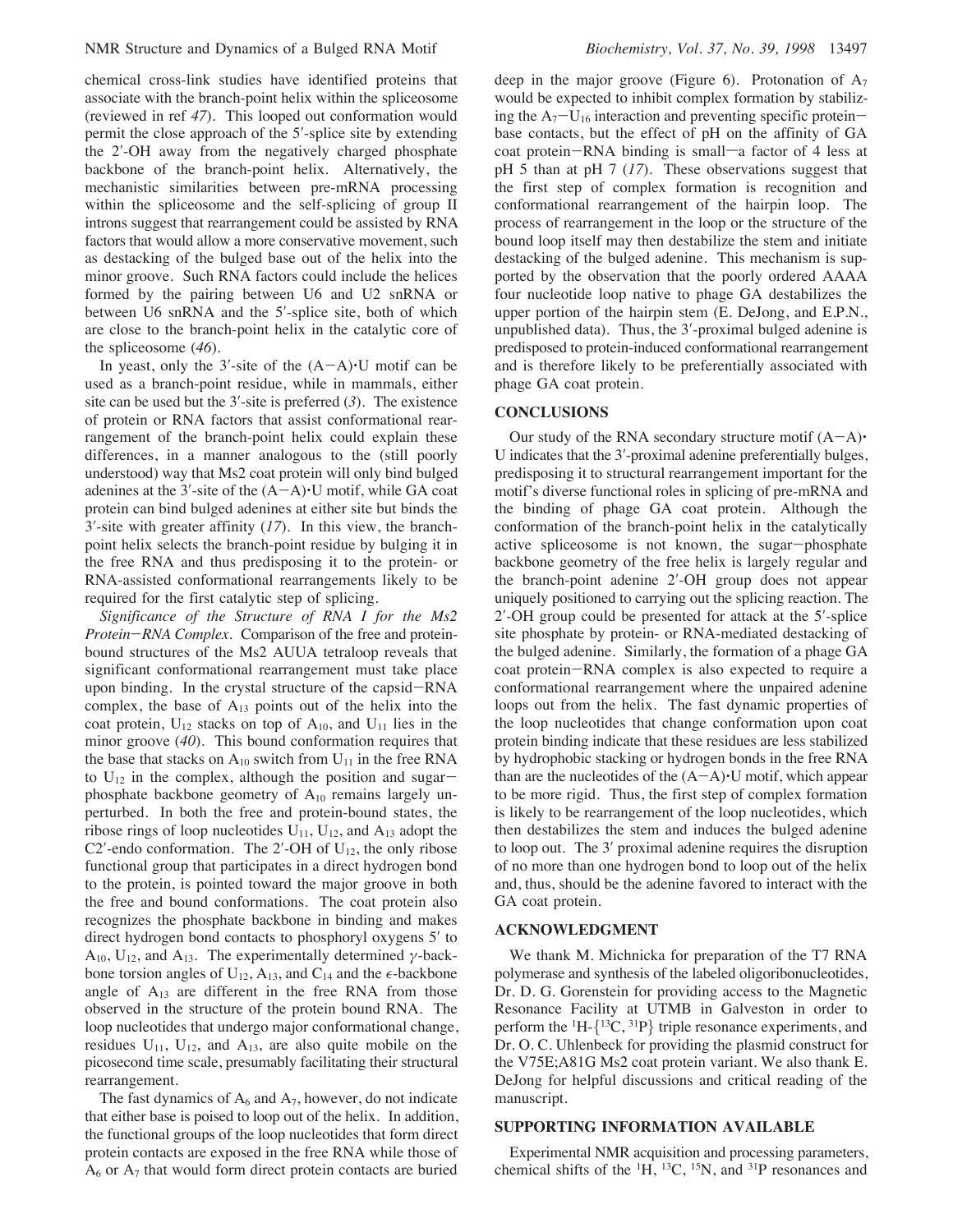chemical cross-link studies have identified proteins that associate with the branch-point helix within the spliceosome (reviewed in ref *47*). This looped out conformation would permit the close approach of the 5′-splice site by extending the 2′-OH away from the negatively charged phosphate backbone of the branch-point helix. Alternatively, the mechanistic similarities between pre-mRNA processing within the spliceosome and the self-splicing of group II introns suggest that rearrangement could be assisted by RNA factors that would allow a more conservative movement, such as destacking of the bulged base out of the helix into the minor groove. Such RNA factors could include the helices formed by the pairing between U6 and U2 snRNA or between U6 snRNA and the 5′-splice site, both of which are close to the branch-point helix in the catalytic core of the spliceosome (*46*).

In yeast, only the 3'-site of the  $(A-A)\cdot U$  motif can be used as a branch-point residue, while in mammals, either site can be used but the 3′-site is preferred (*3*). The existence of protein or RNA factors that assist conformational rearrangement of the branch-point helix could explain these differences, in a manner analogous to the (still poorly understood) way that Ms2 coat protein will only bind bulged adenines at the  $3'$ -site of the  $(A-A)\cdot U$  motif, while GA coat protein can bind bulged adenines at either site but binds the 3′-site with greater affinity (*17*). In this view, the branchpoint helix selects the branch-point residue by bulging it in the free RNA and thus predisposing it to the protein- or RNA-assisted conformational rearrangements likely to be required for the first catalytic step of splicing.

*Significance of the Structure of RNA I for the Ms2 Protein*-*RNA Complex.* Comparison of the free and proteinbound structures of the Ms2 AUUA tetraloop reveals that significant conformational rearrangement must take place upon binding. In the crystal structure of the capsid-RNA complex, the base of  $A_{13}$  points out of the helix into the coat protein,  $U_{12}$  stacks on top of  $A_{10}$ , and  $U_{11}$  lies in the minor groove (*40*). This bound conformation requires that the base that stacks on  $A_{10}$  switch from  $U_{11}$  in the free RNA to  $U_{12}$  in the complex, although the position and sugarphosphate backbone geometry of  $A_{10}$  remains largely unperturbed. In both the free and protein-bound states, the ribose rings of loop nucleotides  $U_{11}$ ,  $U_{12}$ , and  $A_{13}$  adopt the C2′-endo conformation. The 2′-OH of  $U_{12}$ , the only ribose functional group that participates in a direct hydrogen bond to the protein, is pointed toward the major groove in both the free and bound conformations. The coat protein also recognizes the phosphate backbone in binding and makes direct hydrogen bond contacts to phosphoryl oxygens 5′ to  $A_{10}$ , U<sub>12</sub>, and  $A_{13}$ . The experimentally determined  $\gamma$ -backbone torsion angles of  $U_{12}$ ,  $A_{13}$ , and  $C_{14}$  and the  $\epsilon$ -backbone angle of  $A_{13}$  are different in the free RNA from those observed in the structure of the protein bound RNA. The loop nucleotides that undergo major conformational change, residues  $U_{11}$ ,  $U_{12}$ , and  $A_{13}$ , are also quite mobile on the picosecond time scale, presumably facilitating their structural rearrangement.

The fast dynamics of  $A_6$  and  $A_7$ , however, do not indicate that either base is poised to loop out of the helix. In addition, the functional groups of the loop nucleotides that form direct protein contacts are exposed in the free RNA while those of  $A<sub>6</sub>$  or  $A<sub>7</sub>$  that would form direct protein contacts are buried

deep in the major groove (Figure 6). Protonation of  $A_7$ would be expected to inhibit complex formation by stabilizing the  $A_7-U_{16}$  interaction and preventing specific proteinbase contacts, but the effect of pH on the affinity of GA coat protein-RNA binding is small-a factor of 4 less at pH 5 than at pH 7 (*17*). These observations suggest that the first step of complex formation is recognition and conformational rearrangement of the hairpin loop. The process of rearrangement in the loop or the structure of the bound loop itself may then destabilize the stem and initiate destacking of the bulged adenine. This mechanism is supported by the observation that the poorly ordered AAAA four nucleotide loop native to phage GA destabilizes the upper portion of the hairpin stem (E. DeJong, and E.P.N., unpublished data). Thus, the 3′-proximal bulged adenine is predisposed to protein-induced conformational rearrangement and is therefore likely to be preferentially associated with phage GA coat protein.

## **CONCLUSIONS**

Our study of the RNA secondary structure motif  $(A-A)$ <sup>\*</sup> U indicates that the 3′-proximal adenine preferentially bulges, predisposing it to structural rearrangement important for the motif's diverse functional roles in splicing of pre-mRNA and the binding of phage GA coat protein. Although the conformation of the branch-point helix in the catalytically active spliceosome is not known, the sugar-phosphate backbone geometry of the free helix is largely regular and the branch-point adenine 2′-OH group does not appear uniquely positioned to carrying out the splicing reaction. The 2′-OH group could be presented for attack at the 5′-splice site phosphate by protein- or RNA-mediated destacking of the bulged adenine. Similarly, the formation of a phage GA coat protein-RNA complex is also expected to require a conformational rearrangement where the unpaired adenine loops out from the helix. The fast dynamic properties of the loop nucleotides that change conformation upon coat protein binding indicate that these residues are less stabilized by hydrophobic stacking or hydrogen bonds in the free RNA than are the nucleotides of the  $(A-A)\cdot U$  motif, which appear to be more rigid. Thus, the first step of complex formation is likely to be rearrangement of the loop nucleotides, which then destabilizes the stem and induces the bulged adenine to loop out. The 3′ proximal adenine requires the disruption of no more than one hydrogen bond to loop out of the helix and, thus, should be the adenine favored to interact with the GA coat protein.

### **ACKNOWLEDGMENT**

We thank M. Michnicka for preparation of the T7 RNA polymerase and synthesis of the labeled oligoribonucleotides, Dr. D. G. Gorenstein for providing access to the Magnetic Resonance Facility at UTMB in Galveston in order to perform the  ${}^{1}H - {}^{13}C, {}^{31}P$  triple resonance experiments, and Dr. O. C. Uhlenbeck for providing the plasmid construct for the V75E;A81G Ms2 coat protein variant. We also thank E. DeJong for helpful discussions and critical reading of the manuscript.

#### **SUPPORTING INFORMATION AVAILABLE**

Experimental NMR acquisition and processing parameters, chemical shifts of the  ${}^{1}H$ ,  ${}^{13}C$ ,  ${}^{15}N$ , and  ${}^{31}P$  resonances and